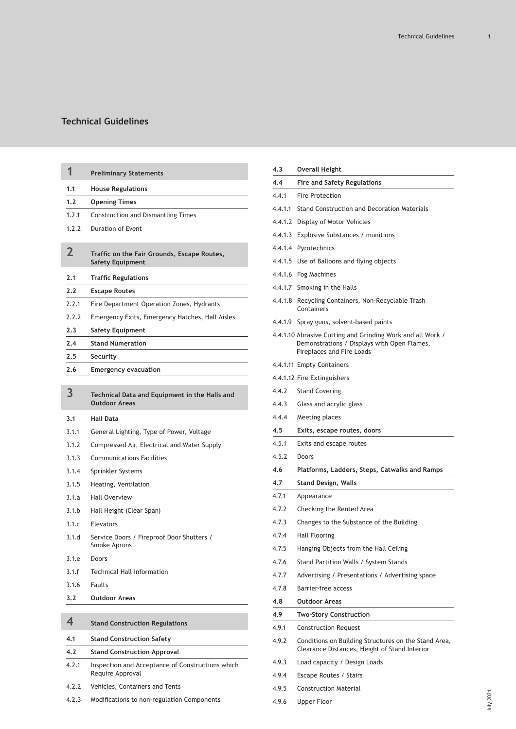| 1              | <b>Preliminary Statements</b>                                          |
|----------------|------------------------------------------------------------------------|
| 1.1            | <b>House Regulations</b>                                               |
| 1.2            | <b>Opening Times</b>                                                   |
| 1.2.1          | <b>Construction and Dismantling Times</b>                              |
| 1.7.7          | Duration of Event                                                      |
| $\overline{2}$ | Traffic on the Fair Grounds, Escape Routes,<br><b>Safety Equipment</b> |
| 2.1            | <b>Traffic Regulations</b>                                             |
| 2.2            | <b>Escape Routes</b>                                                   |
| 2.2.1          | Fire Department Operation Zones, Hydrants                              |
| 2.2.2          | Emergency Exits, Emergency Hatches, Hall Aisles                        |
| 2.3            | <b>Safety Equipment</b>                                                |
| 2.4            | <b>Stand Numeration</b>                                                |
| 2.5            | Security                                                               |
| 2.6            | <b>Emergency evacuation</b>                                            |
| 3              | Technical Data and Equipment in the Halls and<br><b>Outdoor Areas</b>  |
|                |                                                                        |
| 3.1            | <b>Hall Data</b>                                                       |
| 3.1.1          | General Lighting, Type of Power, Voltage                               |
| 3.1.2          | Compressed Air, Electrical and Water Supply                            |
| 3.1.3          | <b>Communications Facilities</b>                                       |
| 3.1.4          | Sprinkler Systems                                                      |
| 3.1.5          | Heating, Ventilation                                                   |
| 3.1.a          | <b>Hall Overview</b>                                                   |
| 3.1.b          | Hall Height (Clear Span)                                               |
| 3.1.c          | Elevators                                                              |
| 3.1.d          | Service Doors / Fireproof Door Shutters /<br>Smoke Aprons              |
| 3.1.e          | Doors                                                                  |
| 3.1.f          | <b>Technical Hall Information</b>                                      |
| 3.1.6          | Faults                                                                 |
| 3.2            | <b>Outdoor Areas</b>                                                   |
| 4              | <b>Stand Construction Regulations</b>                                  |

|       | ---------------------------                                          |  |  |  |  |  |  |
|-------|----------------------------------------------------------------------|--|--|--|--|--|--|
| 4.2   | <b>Stand Construction Approval</b>                                   |  |  |  |  |  |  |
| 4.2.1 | Inspection and Acceptance of Constructions which<br>Require Approval |  |  |  |  |  |  |
| 4.2.2 | Vehicles, Containers and Tents                                       |  |  |  |  |  |  |

| 4.2.3 |  |  | Modifications to non-regulation Components |  |
|-------|--|--|--------------------------------------------|--|
|-------|--|--|--------------------------------------------|--|

| 4.3     | <b>Overall Height</b>                                                                                                                  |
|---------|----------------------------------------------------------------------------------------------------------------------------------------|
| 4.4     | <b>Fire and Safety Regulations</b>                                                                                                     |
| 4.4.1   | <b>Fire Protection</b>                                                                                                                 |
| 4.4.1.1 | Stand Construction and Decoration Materials                                                                                            |
| 4.4.1.2 | Display of Motor Vehicles                                                                                                              |
| 4.4.1.3 | Explosive Substances / munitions                                                                                                       |
| 4.4.1.4 | Pyrotechnics                                                                                                                           |
|         | 4.4.1.5 Use of Balloons and flying objects                                                                                             |
|         | 4.4.1.6 Fog Machines                                                                                                                   |
|         | 4.4.1.7 Smoking in the Halls                                                                                                           |
| 4.4.1.8 | Recycling Containers, Non-Recyclable Trash<br>Containers                                                                               |
| 4.4.1.9 | Spray guns, solvent-based paints                                                                                                       |
|         | 4.4.1.10 Abrasive Cutting and Grinding Work and all Work /<br>Demonstrations / Displays with Open Flames,<br>Fireplaces and Fire Loads |
|         | 4.4.1.11 Empty Containers                                                                                                              |
|         | 4.4.1.12 Fire Extinguishers                                                                                                            |
| 4.4.2   | <b>Stand Covering</b>                                                                                                                  |
| 4.4.3   | Glass and acrylic glass                                                                                                                |
| 4.4.4   | Meeting places                                                                                                                         |
| 4.5     | Exits, escape routes, doors                                                                                                            |
| 4.5.1   | Exits and escape routes                                                                                                                |
| 4.5.2   | Doors                                                                                                                                  |
|         |                                                                                                                                        |
| 4.6     | Platforms, Ladders, Steps, Catwalks and Ramps                                                                                          |
| 4.7     | <b>Stand Design, Walls</b>                                                                                                             |
| 4.7.1   | Appearance                                                                                                                             |
| 4.7.2   | Checking the Rented Area                                                                                                               |
| 4.7.3   | Changes to the Substance of the Building                                                                                               |
| 4.7.4   | Hall Flooring                                                                                                                          |
| 4.7.5   | Hanging Objects from the Hall Ceiling                                                                                                  |
| 4.7.6   | Stand Partition Walls / System Stands                                                                                                  |
| 4.7.7   | Advertising / Presentations / Advertising space                                                                                        |
| 4.7.8   | Barrier-free access                                                                                                                    |
| 4.8     | <b>Outdoor Areas</b>                                                                                                                   |
| 4.9     | <b>Two-Story Construction</b>                                                                                                          |
| 4.9.1   | <b>Construction Request</b>                                                                                                            |
| 4.9.2   | Conditions on Building Structures on the Stand Area,<br>Clearance Distances, Height of Stand Interior                                  |
| 4.9.3   | Load capacity / Design Loads                                                                                                           |
| 4.9.4   | Escape Routes / Stairs                                                                                                                 |

4.9.6 [Upper Floor](#page-15-0)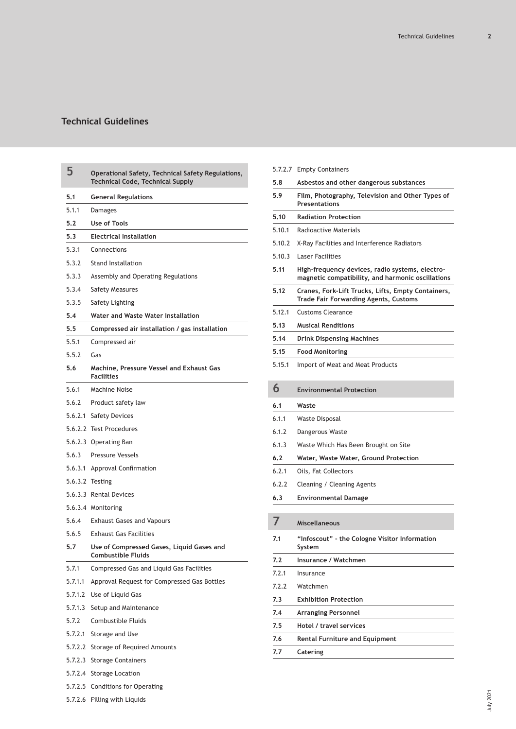| 5       | Operational Safety, Technical Safety Regulations,<br><b>Technical Code, Technical Supply</b> |
|---------|----------------------------------------------------------------------------------------------|
| 5.1     | <b>General Regulations</b>                                                                   |
| 5.1.1   | Damages                                                                                      |
| 5.2     | <b>Use of Tools</b>                                                                          |
| 5.3     | <b>Electrical Installation</b>                                                               |
| 5.3.1   | Connections                                                                                  |
| 5.3.2   | <b>Stand Installation</b>                                                                    |
| 5.3.3   | Assembly and Operating Regulations                                                           |
| 5.3.4   | <b>Safety Measures</b>                                                                       |
| 5.3.5   | Safety Lighting                                                                              |
| 5.4     | Water and Waste Water Installation                                                           |
| 5.5     | Compressed air installation / gas installation                                               |
| 5.5.1   | Compressed air                                                                               |
| 5.5.2   | Gas                                                                                          |
| 5.6     | Machine, Pressure Vessel and Exhaust Gas<br><b>Facilities</b>                                |
| 5.6.1   | Machine Noise                                                                                |
| 5.6.2   | Product safety law                                                                           |
| 5.6.2.1 | <b>Safety Devices</b>                                                                        |
|         | 5.6.2.2 Test Procedures                                                                      |
|         | 5.6.2.3 Operating Ban                                                                        |
| 5.6.3   | <b>Pressure Vessels</b>                                                                      |
| 5.6.3.1 | Approval Confirmation                                                                        |
|         | 5.6.3.2 Testing                                                                              |
|         | 5.6.3.3 Rental Devices                                                                       |
|         | 5.6.3.4 Monitoring                                                                           |
| 5.6.4   | <b>Exhaust Gases and Vapours</b>                                                             |
| 5.6.5   | <b>Exhaust Gas Facilities</b>                                                                |
| 5.7     | Use of Compressed Gases, Liquid Gases and<br>Combustible Fluids                              |
| 5.7.1   | Compressed Gas and Liquid Gas Facilities                                                     |
| 5.7.1.1 | Approval Request for Compressed Gas Bottles                                                  |
|         | 5.7.1.2 Use of Liquid Gas                                                                    |
|         | 5.7.1.3 Setup and Maintenance                                                                |
| 5.7.2   | Combustible Fluids                                                                           |
|         | 5.7.2.1 Storage and Use                                                                      |
|         | 5.7.2.2 Storage of Required Amounts                                                          |
|         | 5.7.2.3 Storage Containers                                                                   |
|         | 5.7.2.4 Storage Location                                                                     |
|         | 5.7.2.5 Conditions for Operating                                                             |
|         | 5.7.2.6 Filling with Liquids                                                                 |

|        | 5.7.2.7 Empty Containers                                                                             |
|--------|------------------------------------------------------------------------------------------------------|
| 5.8    | Asbestos and other dangerous substances                                                              |
| 5.9    | Film, Photography, Television and Other Types of<br><b>Presentations</b>                             |
| 5.10   | <b>Radiation Protection</b>                                                                          |
| 5.10.1 | Radioactive Materials                                                                                |
| 5.10.2 | X-Ray Facilities and Interference Radiators                                                          |
| 5.10.3 | <b>Laser Facilities</b>                                                                              |
| 5.11   | High-frequency devices, radio systems, electro-<br>magnetic compatibility, and harmonic oscillations |
| 5.12   | Cranes, Fork-Lift Trucks, Lifts, Empty Containers,<br><b>Trade Fair Forwarding Agents, Customs</b>   |
| 5.12.1 | <b>Customs Clearance</b>                                                                             |
| 5.13   | <b>Musical Renditions</b>                                                                            |
| 5.14   | Drink Dispensing Machines                                                                            |
| 5.15   | <b>Food Monitoring</b>                                                                               |
| 5.15.1 | Import of Meat and Meat Products                                                                     |
| 6      | <b>Environmental Protection</b>                                                                      |
| 6.1    | Waste                                                                                                |
|        |                                                                                                      |
| 6.1.1  | Waste Disposal                                                                                       |
| 6.1.2  | Dangerous Waste                                                                                      |
| 6.1.3  | Waste Which Has Been Brought on Site                                                                 |
| 6.2    | Water, Waste Water, Ground Protection                                                                |
| 6.2.1  | Oils, Fat Collectors                                                                                 |
| 6.2.2  | Cleaning / Cleaning Agents                                                                           |
| 6.3    | Environmental Damage                                                                                 |
|        |                                                                                                      |
|        | <b>Miscellaneous</b>                                                                                 |
| 7.1    | "Infoscout" - the Cologne Visitor Information<br>System                                              |
| 7.2    | Insurance / Watchmen                                                                                 |
| 7.2.1  | Insurance                                                                                            |
| 7.2.2  | Watchmen                                                                                             |
| 7.3    | <b>Exhibition Protection</b>                                                                         |
| 7.4    | <b>Arranging Personnel</b>                                                                           |
| 7.5    | Hotel / travel services                                                                              |
| 7.6    | <b>Rental Furniture and Equipment</b>                                                                |
| 7.7    | Catering                                                                                             |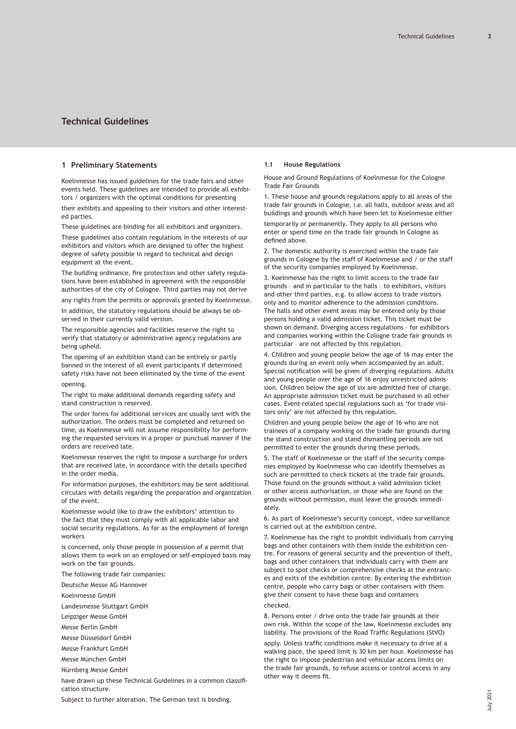# <span id="page-2-0"></span>**1 Preliminary Statements**

Koelnmesse has issued guidelines for the trade fairs and other events held. These guidelines are intended to provide all exhibitors / organizers with the optimal conditions for presenting their exhibits and appealing to their visitors and other interested parties.

These guidelines are binding for all exhibitors and organizers.

These guidelines also contain regulations in the interests of our exhibitors and visitors which are designed to offer the highest degree of safety possible in regard to technical and design equipment at the event.

The building ordinance, fire protection and other safety regulations have been established in agreement with the responsible authorities of the city of Cologne. Third parties may not derive

any rights from the permits or approvals granted by Koelnmesse.

In addition, the statutory regulations should be always be observed in their currently valid version.

The responsible agencies and facilities reserve the right to verify that statutory or administrative agency regulations are being upheld.

The opening of an exhibition stand can be entirely or partly banned in the interest of all event participants if determined safety risks have not been eliminated by the time of the event opening.

The right to make additional demands regarding safety and stand construction is reserved.

The order forms for additional services are usually sent with the authorization. The orders must be completed and returned on time, as Koelnmesse will not assume responsibility for performing the requested services in a proper or punctual manner if the orders are received late.

Koelnmesse reserves the right to impose a surcharge for orders that are received late, in accordance with the details specified in the order media.

For information purposes, the exhibitors may be sent additional circulars with details regarding the preparation and organization of the event.

Koelnmesse would like to draw the exhibitors' attention to the fact that they must comply with all applicable labor and social security regulations. As far as the employment of foreign workers

is concerned, only those people in possession of a permit that allows them to work on an employed or self-employed basis may work on the fair grounds.

The following trade fair companies:

Deutsche Messe AG Hannover

Koelnmesse GmbH

Landesmesse Stuttgart GmbH

Leipziger Messe GmbH

Messe Berlin GmbH

Messe Düsseldorf GmbH

Messe Frankfurt GmbH

Messe München GmbH

Nürnberg Messe GmbH

have drawn up these Technical Guidelines in a common classification structure.

# **1.1 House Regulations**

House and Ground Regulations of Koelnmesse for the Cologne Trade Fair Grounds

1. These house and grounds regulations apply to all areas of the trade fair grounds in Cologne, i.e. all halls, outdoor areas and all buildings and grounds which have been let to Koelnmesse either temporarily or permanently. They apply to all persons who

enter or spend time on the trade fair grounds in Cologne as defined above.

2. The domestic authority is exercised within the trade fair grounds in Cologne by the staff of Koelnmesse and / or the staff of the security companies employed by Koelnmesse.

3. Koelnmesse has the right to limit access to the trade fair grounds – and in particular to the halls – to exhibitors, visitors and other third parties, e.g. to allow access to trade visitors only and to monitor adherence to the admission conditions. The halls and other event areas may be entered only by those persons holding a valid admission ticket. This ticket must be shown on demand. Diverging access regulations – for exhibitors and companies working within the Cologne trade fair grounds in particular – are not affected by this regulation.

4. Children and young people below the age of 16 may enter the grounds during an event only when accompanied by an adult. Special notification will be given of diverging regulations. Adults and young people over the age of 16 enjoy unrestricted admission. Children below the age of six are admitted free of charge. An appropriate admission ticket must be purchased in all other cases. Event-related special regulations such as 'for trade visitors only' are not affected by this regulation.

Children and young people below the age of 16 who are not trainees of a company working on the trade fair grounds during the stand construction and stand dismantling periods are not permitted to enter the grounds during these periods.

5. The staff of Koelnmesse or the staff of the security companies employed by Koelnmesse who can identify themselves as such are permitted to check tickets at the trade fair grounds. Those found on the grounds without a valid admission ticket or other access authorisation, or those who are found on the grounds without permission, must leave the grounds immediately.

6. As part of Koelnmesse's security concept, video surveillance is carried out at the exhibition centre.

7. Koelnmesse has the right to prohibit individuals from carrying bags and other containers with them inside the exhibition centre. For reasons of general security and the prevention of theft, bags and other containers that individuals carry with them are subject to spot checks or comprehensive checks at the entrances and exits of the exhibition centre. By entering the exhibition centre, people who carry bags or other containers with them give their consent to have these bags and containers checked.

8. Persons enter / drive onto the trade fair grounds at their own risk. Within the scope of the law, Koelnmesse excludes any liability. The provisions of the Road Traffic Regulations (StVO)

apply. Unless traffic conditions make it necessary to drive at a walking pace, the speed limit is 30 km per hour. Koelnmesse has the right to impose pedestrian and vehicular access limits on the trade fair grounds, to refuse access or control access in any other way it deems fit.

Subject to further alteration. The German text is binding.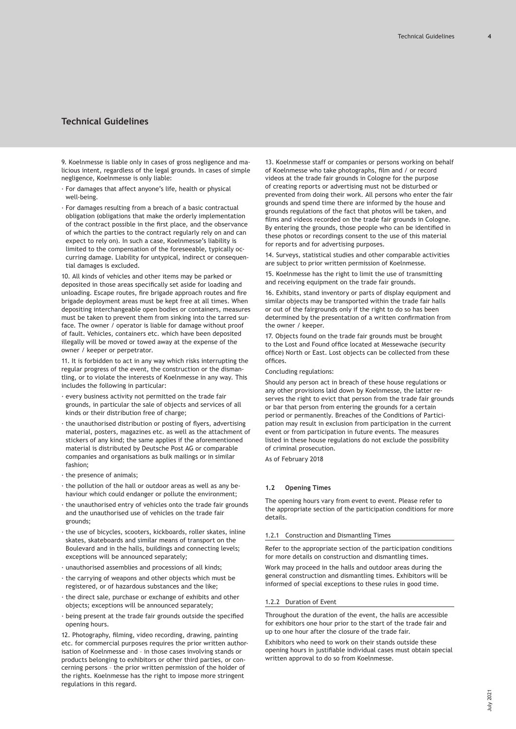<span id="page-3-0"></span>9. Koelnmesse is liable only in cases of gross negligence and malicious intent, regardless of the legal grounds. In cases of simple negligence, Koelnmesse is only liable:

- · For damages that affect anyone's life, health or physical well-being.
- · For damages resulting from a breach of a basic contractual obligation (obligations that make the orderly implementation of the contract possible in the first place, and the observance of which the parties to the contract regularly rely on and can expect to rely on). In such a case, Koelnmesse's liability is limited to the compensation of the foreseeable, typically occurring damage. Liability for untypical, indirect or consequential damages is excluded.

10. All kinds of vehicles and other items may be parked or deposited in those areas specifically set aside for loading and unloading. Escape routes, fire brigade approach routes and fire brigade deployment areas must be kept free at all times. When depositing interchangeable open bodies or containers, measures must be taken to prevent them from sinking into the tarred surface. The owner / operator is liable for damage without proof of fault. Vehicles, containers etc. which have been deposited illegally will be moved or towed away at the expense of the owner / keeper or perpetrator.

11. It is forbidden to act in any way which risks interrupting the regular progress of the event, the construction or the dismantling, or to violate the interests of Koelnmesse in any way. This includes the following in particular:

- · every business activity not permitted on the trade fair grounds, in particular the sale of objects and services of all kinds or their distribution free of charge;
- · the unauthorised distribution or posting of flyers, advertising material, posters, magazines etc. as well as the attachment of stickers of any kind; the same applies if the aforementioned material is distributed by Deutsche Post AG or comparable companies and organisations as bulk mailings or in similar fashion;
- · the presence of animals;
- · the pollution of the hall or outdoor areas as well as any behaviour which could endanger or pollute the environment;
- · the unauthorised entry of vehicles onto the trade fair grounds and the unauthorised use of vehicles on the trade fair grounds;
- · the use of bicycles, scooters, kickboards, roller skates, inline skates, skateboards and similar means of transport on the Boulevard and in the halls, buildings and connecting levels; exceptions will be announced separately;
- · unauthorised assemblies and processions of all kinds;
- · the carrying of weapons and other objects which must be registered, or of hazardous substances and the like;
- · the direct sale, purchase or exchange of exhibits and other objects; exceptions will be announced separately;
- · being present at the trade fair grounds outside the specified opening hours.

12. Photography, filming, video recording, drawing, painting etc. for commercial purposes requires the prior written authorisation of Koelnmesse and – in those cases involving stands or products belonging to exhibitors or other third parties, or concerning persons – the prior written permission of the holder of the rights. Koelnmesse has the right to impose more stringent regulations in this regard.

13. Koelnmesse staff or companies or persons working on behalf of Koelnmesse who take photographs, film and / or record videos at the trade fair grounds in Cologne for the purpose of creating reports or advertising must not be disturbed or prevented from doing their work. All persons who enter the fair grounds and spend time there are informed by the house and grounds regulations of the fact that photos will be taken, and films and videos recorded on the trade fair grounds in Cologne. By entering the grounds, those people who can be identified in these photos or recordings consent to the use of this material for reports and for advertising purposes.

14. Surveys, statistical studies and other comparable activities are subject to prior written permission of Koelnmesse.

15. Koelnmesse has the right to limit the use of transmitting and receiving equipment on the trade fair grounds.

16. Exhibits, stand inventory or parts of display equipment and similar objects may be transported within the trade fair halls or out of the fairgrounds only if the right to do so has been determined by the presentation of a written confirmation from the owner / keeper.

17. Objects found on the trade fair grounds must be brought to the Lost and Found office located at Messewache (security office) North or East. Lost objects can be collected from these offices.

Concluding regulations:

Should any person act in breach of these house regulations or any other provisions laid down by Koelnmesse, the latter reserves the right to evict that person from the trade fair grounds or bar that person from entering the grounds for a certain period or permanently. Breaches of the Conditions of Participation may result in exclusion from participation in the current event or from participation in future events. The measures listed in these house regulations do not exclude the possibility of criminal prosecution.

As of February 2018

### **1.2 Opening Times**

The opening hours vary from event to event. Please refer to the appropriate section of the participation conditions for more details.

### 1.2.1 Construction and Dismantling Times

Refer to the appropriate section of the participation conditions for more details on construction and dismantling times.

Work may proceed in the halls and outdoor areas during the general construction and dismantling times. Exhibitors will be informed of special exceptions to these rules in good time.

# 1.2.2 Duration of Event

Throughout the duration of the event, the halls are accessible for exhibitors one hour prior to the start of the trade fair and up to one hour after the closure of the trade fair.

Exhibitors who need to work on their stands outside these opening hours in justifiable individual cases must obtain special written approval to do so from Koelnmesse.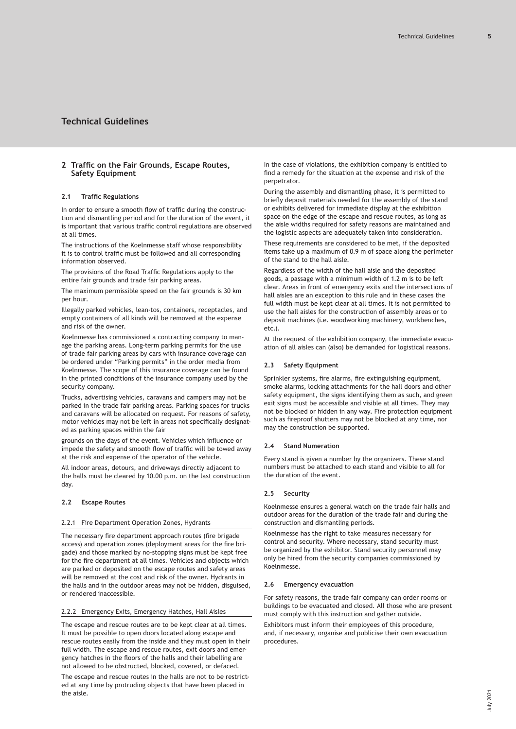# <span id="page-4-0"></span>**2 Traffic on the Fair Grounds, Escape Routes, Safety Equipment**

### **2.1 Traffic Regulations**

In order to ensure a smooth flow of traffic during the construction and dismantling period and for the duration of the event, it is important that various traffic control regulations are observed at all times.

The instructions of the Koelnmesse staff whose responsibility it is to control traffic must be followed and all corresponding information observed.

The provisions of the Road Traffic Regulations apply to the entire fair grounds and trade fair parking areas.

The maximum permissible speed on the fair grounds is 30 km per hour.

Illegally parked vehicles, lean-tos, containers, receptacles, and empty containers of all kinds will be removed at the expense and risk of the owner.

Koelnmesse has commissioned a contracting company to manage the parking areas. Long-term parking permits for the use of trade fair parking areas by cars with insurance coverage can be ordered under "Parking permits" in the order media from Koelnmesse. The scope of this insurance coverage can be found in the printed conditions of the insurance company used by the security company.

Trucks, advertising vehicles, caravans and campers may not be parked in the trade fair parking areas. Parking spaces for trucks and caravans will be allocated on request. For reasons of safety, motor vehicles may not be left in areas not specifically designated as parking spaces within the fair

grounds on the days of the event. Vehicles which influence or impede the safety and smooth flow of traffic will be towed away at the risk and expense of the operator of the vehicle.

All indoor areas, detours, and driveways directly adjacent to the halls must be cleared by 10.00 p.m. on the last construction day.

### **2.2 Escape Routes**

### 2.2.1 Fire Department Operation Zones, Hydrants

The necessary fire department approach routes (fire brigade access) and operation zones (deployment areas for the fire brigade) and those marked by no-stopping signs must be kept free for the fire department at all times. Vehicles and objects which are parked or deposited on the escape routes and safety areas will be removed at the cost and risk of the owner. Hydrants in the halls and in the outdoor areas may not be hidden, disguised, or rendered inaccessible.

### 2.2.2 Emergency Exits, Emergency Hatches, Hall Aisles

The escape and rescue routes are to be kept clear at all times. It must be possible to open doors located along escape and rescue routes easily from the inside and they must open in their full width. The escape and rescue routes, exit doors and emergency hatches in the floors of the halls and their labelling are not allowed to be obstructed, blocked, covered, or defaced.

The escape and rescue routes in the halls are not to be restricted at any time by protruding objects that have been placed in the aisle.

In the case of violations, the exhibition company is entitled to find a remedy for the situation at the expense and risk of the perpetrator.

During the assembly and dismantling phase, it is permitted to briefly deposit materials needed for the assembly of the stand or exhibits delivered for immediate display at the exhibition space on the edge of the escape and rescue routes, as long as the aisle widths required for safety reasons are maintained and the logistic aspects are adequately taken into consideration.

These requirements are considered to be met, if the deposited items take up a maximum of 0.9 m of space along the perimeter of the stand to the hall aisle.

Regardless of the width of the hall aisle and the deposited goods, a passage with a minimum width of 1.2 m is to be left clear. Areas in front of emergency exits and the intersections of hall aisles are an exception to this rule and in these cases the full width must be kept clear at all times. It is not permitted to use the hall aisles for the construction of assembly areas or to deposit machines (i.e. woodworking machinery, workbenches, etc.).

At the request of the exhibition company, the immediate evacuation of all aisles can (also) be demanded for logistical reasons.

### **2.3 Safety Equipment**

Sprinkler systems, fire alarms, fire extinguishing equipment, smoke alarms, locking attachments for the hall doors and other safety equipment, the signs identifying them as such, and green exit signs must be accessible and visible at all times. They may not be blocked or hidden in any way. Fire protection equipment such as fireproof shutters may not be blocked at any time, nor may the construction be supported.

#### **2.4 Stand Numeration**

Every stand is given a number by the organizers. These stand numbers must be attached to each stand and visible to all for the duration of the event.

# **2.5 Security**

Koelnmesse ensures a general watch on the trade fair halls and outdoor areas for the duration of the trade fair and during the construction and dismantling periods.

Koelnmesse has the right to take measures necessary for control and security. Where necessary, stand security must be organized by the exhibitor. Stand security personnel may only be hired from the security companies commissioned by Koelnmesse.

#### **2.6 Emergency evacuation**

For safety reasons, the trade fair company can order rooms or buildings to be evacuated and closed. All those who are present must comply with this instruction and gather outside.

Exhibitors must inform their employees of this procedure, and, if necessary, organise and publicise their own evacuation procedures.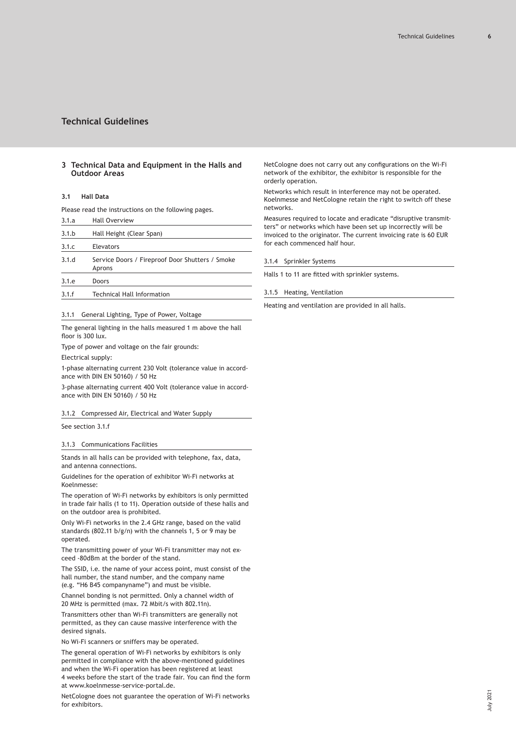# <span id="page-5-0"></span>**3 Technical Data and Equipment in the Halls and Outdoor Areas**

# **3.1 Hall Data**

Please read the instructions on the following pages.

| 3.1.a | <b>Hall Overview</b>                                      |
|-------|-----------------------------------------------------------|
| 3.1.b | Hall Height (Clear Span)                                  |
| 3.1.c | Elevators                                                 |
| 3.1.d | Service Doors / Fireproof Door Shutters / Smoke<br>Aprons |
| 3.1.e | Doors                                                     |
| 3.1.f | <b>Technical Hall Information</b>                         |

# 3.1.1 General Lighting, Type of Power, Voltage

The general lighting in the halls measured 1 m above the hall floor is 300 lux.

Type of power and voltage on the fair grounds:

Electrical supply:

1-phase alternating current 230 Volt (tolerance value in accordance with DIN EN 50160) / 50 Hz

3-phase alternating current 400 Volt (tolerance value in accordance with DIN EN 50160) / 50 Hz

3.1.2 Compressed Air, Electrical and Water Supply

See section 3.1.f

3.1.3 Communications Facilities

Stands in all halls can be provided with telephone, fax, data, and antenna connections.

Guidelines for the operation of exhibitor Wi-Fi networks at Koelnmesse:

The operation of Wi-Fi networks by exhibitors is only permitted in trade fair halls (1 to 11). Operation outside of these halls and on the outdoor area is prohibited.

Only Wi-Fi networks in the 2.4 GHz range, based on the valid standards (802.11 b/g/n) with the channels 1, 5 or 9 may be operated.

The transmitting power of your Wi-Fi transmitter may not exceed -80dBm at the border of the stand.

The SSID, i.e. the name of your access point, must consist of the hall number, the stand number, and the company name (e.g. "H6 B45 companyname") and must be visible.

Channel bonding is not permitted. Only a channel width of 20 MHz is permitted (max. 72 Mbit/s with 802.11n).

Transmitters other than Wi-Fi transmitters are generally not permitted, as they can cause massive interference with the desired signals.

No Wi-Fi scanners or sniffers may be operated.

The general operation of Wi-Fi networks by exhibitors is only permitted in compliance with the above-mentioned guidelines and when the Wi-Fi operation has been registered at least 4 weeks before the start of the trade fair. You can find the form at www.koelnmesse-service-portal.de.

NetCologne does not guarantee the operation of Wi-Fi networks for exhibitors.

NetCologne does not carry out any configurations on the Wi-Fi network of the exhibitor, the exhibitor is responsible for the orderly operation.

Networks which result in interference may not be operated. Koelnmesse and NetCologne retain the right to switch off these networks.

Measures required to locate and eradicate "disruptive transmitters" or networks which have been set up incorrectly will be invoiced to the originator. The current invoicing rate is 60 EUR for each commenced half hour.

3.1.4 Sprinkler Systems

Halls 1 to 11 are fitted with sprinkler systems.

3.1.5 Heating, Ventilation

Heating and ventilation are provided in all halls.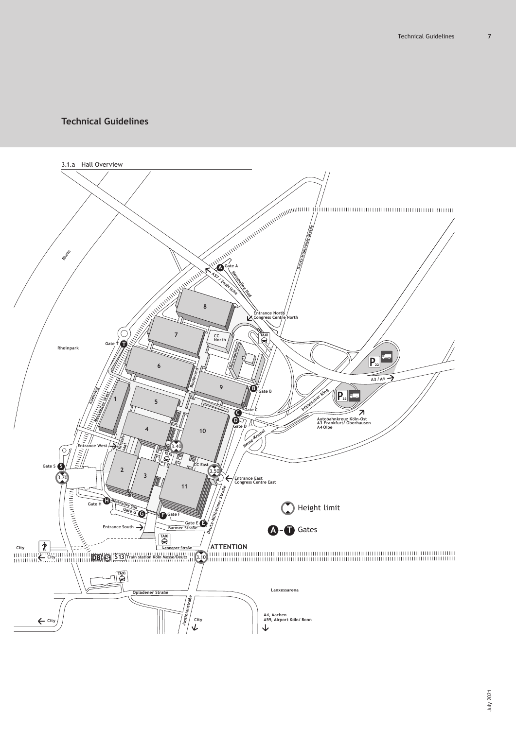<span id="page-6-0"></span>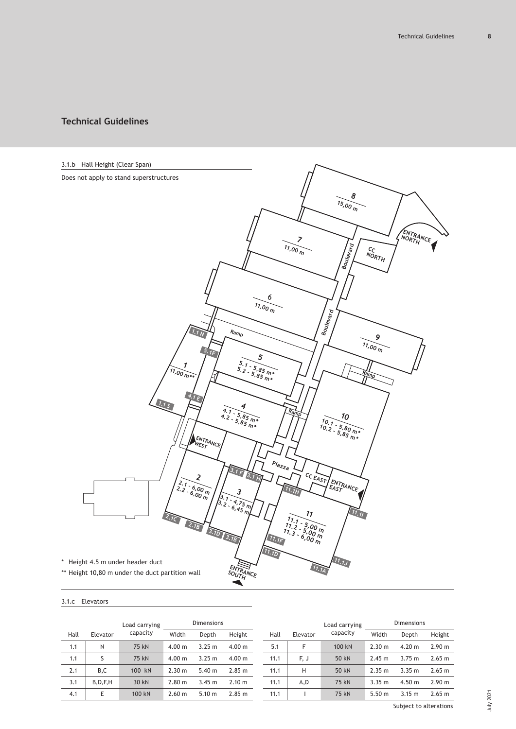<span id="page-7-0"></span>

# 3.1.c Elevators

|      |            | Load carrying |        | Dimensions |        |  |      |          | Load carrying | Dimensions |        |        |
|------|------------|---------------|--------|------------|--------|--|------|----------|---------------|------------|--------|--------|
| Hall | Elevator   | capacity      | Width  | Depth      | Height |  | Hall | Elevator | capacity      | Width      | Depth  | Height |
| 1.1  | N          | 75 kN         | 4.00 m | 3.25 m     | 4.00 m |  | 5.1  | F        | 100 kN        | 2.30 m     | 4.20 m | 2.90 m |
| 1.1  |            | 75 kN         | 4.00 m | 3.25 m     | 4.00 m |  | 11.1 | F, J     | 50 kN         | 2.45 m     | 3.75 m | 2.65 m |
| 2.1  | B,C        | 100 kN        | 2.30 m | 5.40 m     | 2.85 m |  | 11.1 | Н        | 50 kN         | 2.35 m     | 3.35 m | 2.65 m |
| 3.1  | B, D, F, H | 30 kN         | 2.80 m | 3.45 m     | 2.10 m |  | 11.1 | A,D      | 75 kN         | 3.35 m     | 4.50 m | 2.90 m |
| 4.1  | Ε          | 100 kN        | 2.60 m | 5.10 m     | 2.85 m |  | 11.1 |          | 75 kN         | 5.50 m     | 3.15 m | 2.65 m |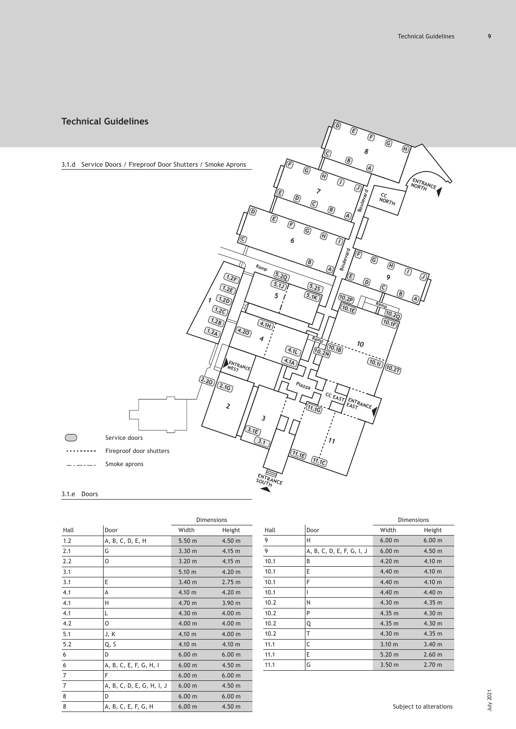<span id="page-8-0"></span>

# 3.1.e Doors

|                |                           | <b>Dimensions</b> |                   |  |
|----------------|---------------------------|-------------------|-------------------|--|
| Hall           | Door                      | Width             | Height            |  |
| 1.2            | A, B, C, D, E, H          | 5.50 m            | 4.50 <sub>m</sub> |  |
| 2.1            | G                         | 3.30 m            | 4.15 m            |  |
| 2.2            | O                         | 3.20 m            | 4.15 m            |  |
| 3.1            |                           | 5.10 m            | 4.20 <sub>m</sub> |  |
| 3.1            | Ε                         | 3.40 m            | 2.75 m            |  |
| 4.1            | А                         | 4.10 m            | 4.20 <sub>m</sub> |  |
| 4.1            | н                         | 4.70 m            | 3.90 <sub>m</sub> |  |
| 4.1            | L                         | 4.30 m            | 4.00 m            |  |
| 4.2            | O                         | 4.00 m            | 4.00 m            |  |
| 5.1            | J, K                      | 4.10 m            | 4.00 m            |  |
| 5.2            | Q, S                      | 4.10 m            | 4.10 m            |  |
| 6              | D                         | 6.00 m            | 6.00 m            |  |
| 6              | A, B, C, E, F, G, H, I    | 6.00 m            | 4.50 m            |  |
| $\overline{7}$ | F                         | 6.00 m            | 6.00 m            |  |
| $\overline{7}$ | A, B, C, D, E, G, H, I, J | 6.00 m            | 4.50 m            |  |
| 8              | D                         | 6.00 m            | 6.00 m            |  |
| 8              | A, B, C, E, F, G, H       | 6.00 m            | 4.50 <sub>m</sub> |  |

|      |                           | <b>Dimensions</b> |        |  |
|------|---------------------------|-------------------|--------|--|
| Hall | Door                      | Width             | Height |  |
| 9    | H                         | 6.00 m            | 6.00 m |  |
| 9    | A, B, C, D, E, F, G, I, J | 6.00 m            | 4.50 m |  |
| 10.1 | B                         | 4.20 <sub>m</sub> | 4.10 m |  |
| 10.1 | Ε                         | 4.40 m            | 4.10 m |  |
| 10.1 | F                         | 4.40 m            | 4.10 m |  |
| 10.1 |                           | 4.40 m            | 4.40 m |  |
| 10.2 | N                         | 4.30 m            | 4.35 m |  |
| 10.2 | P                         | 4.35 m            | 4.30 m |  |
| 10.2 | Q                         | 4.35 m            | 4.30 m |  |
| 10.2 | Т                         | 4.30 m            | 4.35 m |  |
| 11.1 | C                         | $3.10 \text{ m}$  | 3.40 m |  |
| 11.1 | E                         | 5.20 m            | 2.60 m |  |
| 11.1 | G                         | 3.50 <sub>m</sub> | 2.70 m |  |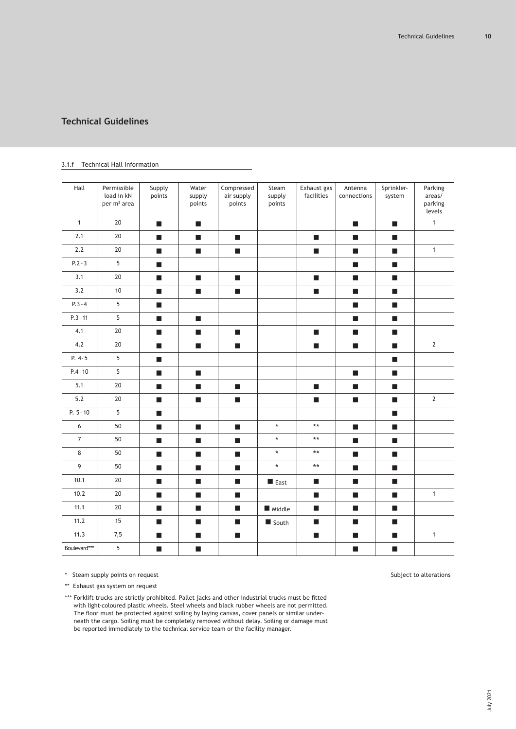| Hall           | Permissible<br>load in kN<br>per m <sup>2</sup> area | Supply<br>points            | Water<br>supply<br>points   | Compressed<br>air supply<br>points | Steam<br>supply<br>points | Exhaust gas<br>facilities   | Antenna<br>connections      | Sprinkler-<br>system        | Parking<br>areas/<br>parking<br>levels |
|----------------|------------------------------------------------------|-----------------------------|-----------------------------|------------------------------------|---------------------------|-----------------------------|-----------------------------|-----------------------------|----------------------------------------|
| $\mathbf{1}$   | 20                                                   | $\blacksquare$              | $\mathcal{L}_{\mathcal{A}}$ |                                    |                           |                             | <b>COL</b>                  | $\blacksquare$              | $\mathbf{1}$                           |
| 2.1            | 20                                                   | $\overline{\phantom{a}}$    | $\mathbf{r}$                | $\blacksquare$                     |                           | $\blacksquare$              | $\mathcal{L}_{\mathcal{A}}$ | $\blacksquare$              |                                        |
| 2.2            | 20                                                   | $\mathcal{L}_{\mathcal{A}}$ | $\mathcal{L}_{\mathcal{A}}$ | $\mathcal{L}_{\mathcal{A}}$        |                           | $\mathcal{L}_{\mathcal{A}}$ | $\mathcal{L}_{\mathcal{A}}$ | $\mathcal{L}_{\mathcal{A}}$ | $\mathbf{1}$                           |
| $P.2 - 3$      | 5                                                    | $\blacksquare$              |                             |                                    |                           |                             | п                           | <b>COL</b>                  |                                        |
| 3.1            | $20\,$                                               | $\blacksquare$              | $\mathcal{L}_{\mathcal{A}}$ | <b>C</b>                           |                           | <b>C</b>                    | $\overline{\phantom{a}}$    | <b>C</b>                    |                                        |
| 3.2            | 10                                                   | $\mathcal{L}_{\mathcal{A}}$ | $\mathcal{L}_{\mathcal{A}}$ | $\mathcal{L}_{\mathcal{A}}$        |                           | $\mathcal{L}_{\mathcal{A}}$ | $\mathcal{L}_{\mathcal{A}}$ | $\mathcal{L}_{\mathcal{A}}$ |                                        |
| $P.3 - 4$      | $\overline{5}$                                       | $\blacksquare$              |                             |                                    |                           |                             | п                           | ш                           |                                        |
| $P.3 - 11$     | $5\phantom{.0}$                                      | $\blacksquare$              | $\mathcal{L}_{\mathcal{A}}$ |                                    |                           |                             | $\blacksquare$              | $\blacksquare$              |                                        |
| 4.1            | 20                                                   | $\blacksquare$              | $\mathcal{L}_{\mathcal{A}}$ | $\blacksquare$                     |                           | $\blacksquare$              | $\mathcal{L}_{\mathcal{A}}$ | $\blacksquare$              |                                        |
| 4.2            | 20                                                   | $\blacksquare$              | $\mathcal{L}_{\mathcal{A}}$ | ш                                  |                           | $\mathcal{L}_{\mathcal{A}}$ | $\mathcal{L}_{\mathcal{A}}$ | $\mathcal{L}_{\mathcal{A}}$ | $\mathbf{2}$                           |
| $P. 4 - 5$     | 5                                                    | $\mathcal{L}_{\mathcal{A}}$ |                             |                                    |                           |                             |                             | $\blacksquare$              |                                        |
| $P.4 - 10$     | $5\phantom{.0}$                                      | $\mathcal{L}_{\mathcal{A}}$ | $\mathcal{L}_{\mathcal{A}}$ |                                    |                           |                             | $\blacksquare$              | $\blacksquare$              |                                        |
| 5.1            | 20                                                   | $\mathcal{L}_{\mathcal{A}}$ | <b>College</b>              | <b>I</b>                           |                           | a.                          | <b>I</b>                    | $\mathcal{L}_{\mathcal{A}}$ |                                        |
| 5.2            | 20                                                   | $\blacksquare$              | $\blacksquare$              | $\blacksquare$                     |                           | $\blacksquare$              | $\blacksquare$              | $\blacksquare$              | $\overline{2}$                         |
| $P. 5 - 10$    | $5\phantom{.0}$                                      | $\overline{\phantom{a}}$    |                             |                                    |                           |                             |                             | $\blacksquare$              |                                        |
| $6\,$          | 50                                                   | $\blacksquare$              | $\mathcal{L}_{\mathcal{A}}$ | $\blacksquare$                     | $\star$                   | $\star\star$                | $\mathcal{L}_{\mathcal{A}}$ | $\mathcal{L}_{\mathcal{A}}$ |                                        |
| $\overline{7}$ | $50\,$                                               | $\blacksquare$              | $\blacksquare$              | <b>C</b>                           | $\star$                   | $\star\star$                | <b>C</b>                    | <b>C</b>                    |                                        |
| 8              | 50                                                   | $\mathcal{L}_{\mathcal{A}}$ | $\blacksquare$              | п                                  | $\star$                   | $***$                       | п                           | $\blacksquare$              |                                        |
| 9              | 50                                                   | $\mathcal{L}_{\mathcal{A}}$ | $\mathcal{L}_{\mathcal{A}}$ | $\blacksquare$                     | $\star$                   | $\star\star$                | <b>C</b>                    | $\blacksquare$              |                                        |
| 10.1           | 20                                                   | $\mathcal{L}_{\mathcal{A}}$ | $\mathcal{L}_{\mathcal{A}}$ | $\mathcal{L}_{\mathcal{A}}$        | East                      | <b>I</b>                    | $\mathcal{L}_{\mathcal{A}}$ | $\mathcal{L}_{\mathcal{A}}$ |                                        |
| 10.2           | $20\,$                                               | $\mathcal{L}_{\mathcal{A}}$ | $\blacksquare$              | п                                  |                           | $\blacksquare$              | $\blacksquare$              | $\blacksquare$              | $\mathbf{1}$                           |
| 11.1           | $20\,$                                               | $\overline{\phantom{a}}$    | <b>C</b>                    | <b>C</b>                           | Middle                    | <b>C</b>                    | $\mathcal{L}_{\mathcal{A}}$ | <b>C</b>                    |                                        |
| 11.2           | 15                                                   | $\mathcal{L}_{\mathcal{A}}$ | $\mathcal{L}_{\mathcal{A}}$ | $\mathcal{L}_{\mathcal{A}}$        | South                     | $\mathcal{L}_{\mathcal{A}}$ | $\blacksquare$              | $\mathcal{L}_{\mathcal{A}}$ |                                        |
| 11.3           | 7,5                                                  | $\mathcal{L}_{\mathcal{A}}$ | $\mathcal{L}_{\mathcal{A}}$ | $\mathbf{r}$                       |                           | $\mathcal{L}_{\mathcal{A}}$ | a.                          | $\mathcal{L}_{\mathcal{A}}$ | $\mathbf{1}$                           |
| Boulevard***   | $5\phantom{a}$                                       | $\blacksquare$              | $\blacksquare$              |                                    |                           |                             | п                           | $\blacksquare$              |                                        |

# <span id="page-9-0"></span>3.1.f Technical Hall Information

\* Steam supply points on request Subject to alterations

\*\* Exhaust gas system on request

\*\*\* Forklift trucks are strictly prohibited. Pallet jacks and other industrial trucks must be fitted with light-coloured plastic wheels. Steel wheels and black rubber wheels are not permitted. The floor must be protected against soiling by laying canvas, cover panels or similar underneath the cargo. Soiling must be completely removed without delay. Soiling or damage must be reported immediately to the technical service team or the facility manager.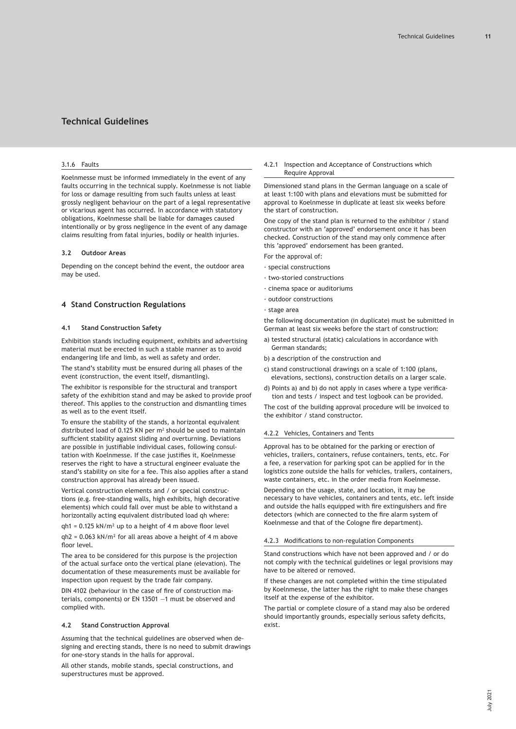### <span id="page-10-0"></span>3.1.6 Faults

Koelnmesse must be informed immediately in the event of any faults occurring in the technical supply. Koelnmesse is not liable for loss or damage resulting from such faults unless at least grossly negligent behaviour on the part of a legal representative or vicarious agent has occurred. In accordance with statutory obligations, Koelnmesse shall be liable for damages caused intentionally or by gross negligence in the event of any damage claims resulting from fatal injuries, bodily or health injuries.

### **3.2 Outdoor Areas**

Depending on the concept behind the event, the outdoor area may be used.

# **4 Stand Construction Regulations**

### **4.1 Stand Construction Safety**

Exhibition stands including equipment, exhibits and advertising material must be erected in such a stable manner as to avoid endangering life and limb, as well as safety and order.

The stand's stability must be ensured during all phases of the event (construction, the event itself, dismantling).

The exhibitor is responsible for the structural and transport safety of the exhibition stand and may be asked to provide proof thereof. This applies to the construction and dismantling times as well as to the event itself.

To ensure the stability of the stands, a horizontal equivalent distributed load of 0.125 KN per  $m<sup>2</sup>$  should be used to maintain sufficient stability against sliding and overturning. Deviations are possible in justifiable individual cases, following consultation with Koelnmesse. If the case justifies it, Koelnmesse reserves the right to have a structural engineer evaluate the stand's stability on site for a fee. This also applies after a stand construction approval has already been issued.

Vertical construction elements and / or special constructions (e.g. free-standing walls, high exhibits, high decorative elements) which could fall over must be able to withstand a horizontally acting equivalent distributed load qh where:

qh1 = 0.125 kN/m² up to a height of 4 m above floor level

 $ah2 = 0.063$  kN/m<sup>2</sup> for all areas above a height of 4 m above floor level.

The area to be considered for this purpose is the projection of the actual surface onto the vertical plane (elevation). The documentation of these measurements must be available for inspection upon request by the trade fair company.

DIN 4102 (behaviour in the case of fire of construction materials, components) or EN 13501 —1 must be observed and complied with.

#### **4.2 Stand Construction Approval**

Assuming that the technical guidelines are observed when designing and erecting stands, there is no need to submit drawings for one-story stands in the halls for approval.

All other stands, mobile stands, special constructions, and superstructures must be approved.

4.2.1 Inspection and Acceptance of Constructions which Require Approval

Dimensioned stand plans in the German language on a scale of at least 1:100 with plans and elevations must be submitted for approval to Koelnmesse in duplicate at least six weeks before the start of construction.

One copy of the stand plan is returned to the exhibitor / stand constructor with an 'approved' endorsement once it has been checked. Construction of the stand may only commence after this 'approved' endorsement has been granted.

- For the approval of:
- · special constructions
- · two-storied constructions
- · cinema space or auditoriums
- · outdoor constructions
- · stage area

the following documentation (in duplicate) must be submitted in German at least six weeks before the start of construction:

- a) tested structural (static) calculations in accordance with German standards;
- b) a description of the construction and
- c) stand constructional drawings on a scale of 1:100 (plans, elevations, sections), construction details on a larger scale.
- d) Points a) and b) do not apply in cases where a type verification and tests / inspect and test logbook can be provided.

The cost of the building approval procedure will be invoiced to the exhibitor / stand constructor.

### 4.2.2 Vehicles, Containers and Tents

Approval has to be obtained for the parking or erection of vehicles, trailers, containers, refuse containers, tents, etc. For a fee, a reservation for parking spot can be applied for in the logistics zone outside the halls for vehicles, trailers, containers, waste containers, etc. in the order media from Koelnmesse.

Depending on the usage, state, and location, it may be necessary to have vehicles, containers and tents, etc. left inside and outside the halls equipped with fire extinguishers and fire detectors (which are connected to the fire alarm system of Koelnmesse and that of the Cologne fire department).

#### 4.2.3 Modifications to non-regulation Components

Stand constructions which have not been approved and / or do not comply with the technical guidelines or legal provisions may have to be altered or removed.

If these changes are not completed within the time stipulated by Koelnmesse, the latter has the right to make these changes itself at the expense of the exhibitor.

The partial or complete closure of a stand may also be ordered should importantly grounds, especially serious safety deficits, exist.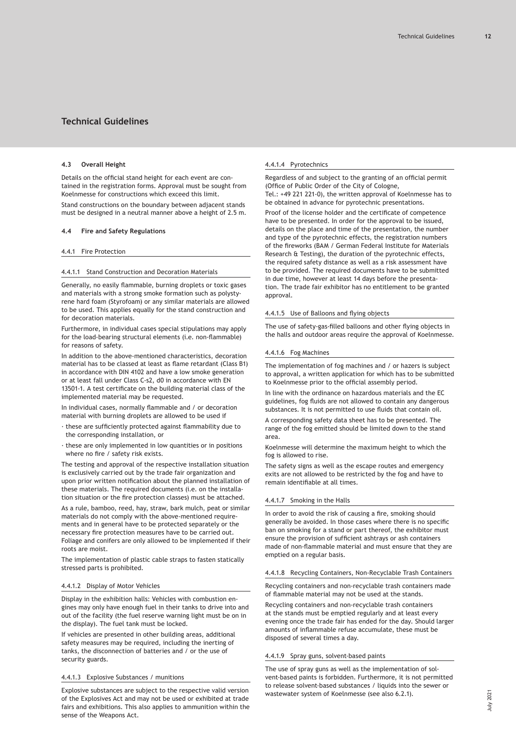### <span id="page-11-0"></span>**4.3 Overall Height**

Details on the official stand height for each event are contained in the registration forms. Approval must be sought from Koelnmesse for constructions which exceed this limit.

Stand constructions on the boundary between adjacent stands must be designed in a neutral manner above a height of 2.5 m.

### **4.4 Fire and Safety Regulations**

#### 4.4.1 Fire Protection

### 4.4.1.1 Stand Construction and Decoration Materials

Generally, no easily flammable, burning droplets or toxic gases and materials with a strong smoke formation such as polystyrene hard foam (Styrofoam) or any similar materials are allowed to be used. This applies equally for the stand construction and for decoration materials.

Furthermore, in individual cases special stipulations may apply for the load-bearing structural elements (i.e. non-flammable) for reasons of safety.

In addition to the above-mentioned characteristics, decoration material has to be classed at least as flame retardant (Class B1) in accordance with DIN 4102 and have a low smoke generation or at least fall under Class C-s2, d0 in accordance with EN 13501-1. A test certificate on the building material class of the implemented material may be requested.

In individual cases, normally flammable and / or decoration material with burning droplets are allowed to be used if

- · these are sufficiently protected against flammability due to the corresponding installation, or
- · these are only implemented in low quantities or in positions where no fire / safety risk exists.

The testing and approval of the respective installation situation is exclusively carried out by the trade fair organization and upon prior written notification about the planned installation of these materials. The required documents (i.e. on the installation situation or the fire protection classes) must be attached.

As a rule, bamboo, reed, hay, straw, bark mulch, peat or similar materials do not comply with the above-mentioned requirements and in general have to be protected separately or the necessary fire protection measures have to be carried out. Foliage and conifers are only allowed to be implemented if their roots are moist.

The implementation of plastic cable straps to fasten statically stressed parts is prohibited.

### 4.4.1.2 Display of Motor Vehicles

Display in the exhibition halls: Vehicles with combustion engines may only have enough fuel in their tanks to drive into and out of the facility (the fuel reserve warning light must be on in the display). The fuel tank must be locked.

If vehicles are presented in other building areas, additional safety measures may be required, including the inerting of tanks, the disconnection of batteries and / or the use of security guards.

### 4.4.1.3 Explosive Substances / munitions

Explosive substances are subject to the respective valid version of the Explosives Act and may not be used or exhibited at trade fairs and exhibitions. This also applies to ammunition within the sense of the Weapons Act.

# 4.4.1.4 Pyrotechnics

Regardless of and subject to the granting of an official permit (Office of Public Order of the City of Cologne, Tel.: +49 221 221-0), the written approval of Koelnmesse has to be obtained in advance for pyrotechnic presentations.

Proof of the license holder and the certificate of competence have to be presented. In order for the approval to be issued, details on the place and time of the presentation, the number and type of the pyrotechnic effects, the registration numbers of the fireworks (BAM / German Federal Institute for Materials Research & Testing), the duration of the pyrotechnic effects, the required safety distance as well as a risk assessment have to be provided. The required documents have to be submitted in due time, however at least 14 days before the presentation. The trade fair exhibitor has no entitlement to be granted approval.

#### 4.4.1.5 Use of Balloons and flying objects

The use of safety-gas-filled balloons and other flying objects in the halls and outdoor areas require the approval of Koelnmesse.

#### 4.4.1.6 Fog Machines

The implementation of fog machines and / or hazers is subject to approval, a written application for which has to be submitted to Koelnmesse prior to the official assembly period.

In line with the ordinance on hazardous materials and the EC guidelines, fog fluids are not allowed to contain any dangerous substances. It is not permitted to use fluids that contain oil.

A corresponding safety data sheet has to be presented. The range of the fog emitted should be limited down to the stand area.

Koelnmesse will determine the maximum height to which the fog is allowed to rise.

The safety signs as well as the escape routes and emergency exits are not allowed to be restricted by the fog and have to remain identifiable at all times.

# 4.4.1.7 Smoking in the Halls

In order to avoid the risk of causing a fire, smoking should generally be avoided. In those cases where there is no specific ban on smoking for a stand or part thereof, the exhibitor must ensure the provision of sufficient ashtrays or ash containers made of non-flammable material and must ensure that they are emptied on a regular basis.

### 4.4.1.8 Recycling Containers, Non-Recyclable Trash Containers

Recycling containers and non-recyclable trash containers made of flammable material may not be used at the stands.

Recycling containers and non-recyclable trash containers at the stands must be emptied regularly and at least every evening once the trade fair has ended for the day. Should larger amounts of inflammable refuse accumulate, these must be disposed of several times a day.

#### 4.4.1.9 Spray guns, solvent-based paints

The use of spray guns as well as the implementation of solvent-based paints is forbidden. Furthermore, it is not permitted to release solvent-based substances / liquids into the sewer or wastewater system of Koelnmesse (see also 6.2.1).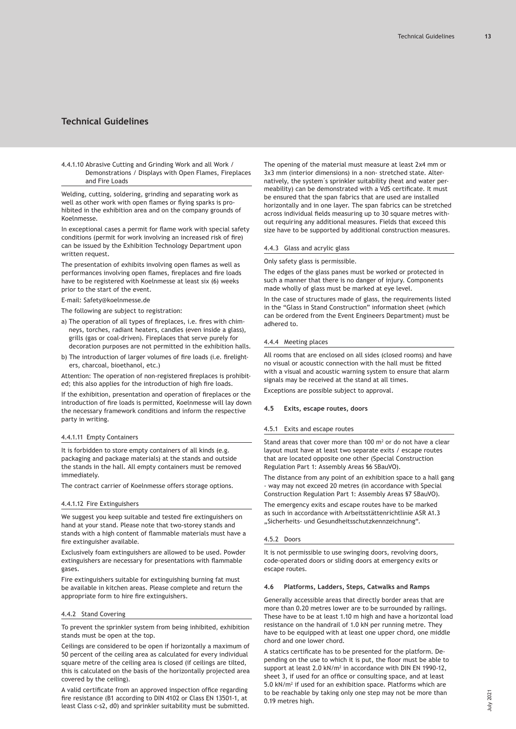<span id="page-12-0"></span>4.4.1.10 Abrasive Cutting and Grinding Work and all Work / Demonstrations / Displays with Open Flames, Fireplaces and Fire Loads

Welding, cutting, soldering, grinding and separating work as well as other work with open flames or flying sparks is prohibited in the exhibition area and on the company grounds of Koelnmesse.

In exceptional cases a permit for flame work with special safety conditions (permit for work involving an increased risk of fire) can be issued by the Exhibition Technology Department upon written request.

The presentation of exhibits involving open flames as well as performances involving open flames, fireplaces and fire loads have to be registered with Koelnmesse at least six (6) weeks prior to the start of the event.

E-mail: Safety@koelnmesse.de

The following are subject to registration:

- a) The operation of all types of fireplaces, i.e. fires with chimneys, torches, radiant heaters, candles (even inside a glass), grills (gas or coal-driven). Fireplaces that serve purely for decoration purposes are not permitted in the exhibition halls.
- b) The introduction of larger volumes of fire loads (i.e. firelighters, charcoal, bioethanol, etc.)

Attention: The operation of non-registered fireplaces is prohibited; this also applies for the introduction of high fire loads.

If the exhibition, presentation and operation of fireplaces or the introduction of fire loads is permitted, Koelnmesse will lay down the necessary framework conditions and inform the respective party in writing.

### 4.4.1.11 Empty Containers

It is forbidden to store empty containers of all kinds (e.g. packaging and package materials) at the stands and outside the stands in the hall. All empty containers must be removed immediately.

The contract carrier of Koelnmesse offers storage options.

# 4.4.1.12 Fire Extinguishers

We suggest you keep suitable and tested fire extinguishers on hand at your stand. Please note that two-storey stands and stands with a high content of flammable materials must have a fire extinguisher available.

Exclusively foam extinguishers are allowed to be used. Powder extinguishers are necessary for presentations with flammable gases.

Fire extinguishers suitable for extinguishing burning fat must be available in kitchen areas. Please complete and return the appropriate form to hire fire extinguishers.

### 4.4.2 Stand Covering

To prevent the sprinkler system from being inhibited, exhibition stands must be open at the top.

Ceilings are considered to be open if horizontally a maximum of 50 percent of the ceiling area as calculated for every individual square metre of the ceiling area is closed (if ceilings are tilted, this is calculated on the basis of the horizontally projected area covered by the ceiling).

A valid certificate from an approved inspection office regarding fire resistance (B1 according to DIN 4102 or Class EN 13501-1, at least Class c-s2, d0) and sprinkler suitability must be submitted. The opening of the material must measure at least 2x4 mm or 3x3 mm (interior dimensions) in a non- stretched state. Alternatively, the system´s sprinkler suitability (heat and water permeability) can be demonstrated with a VdS certificate. It must be ensured that the span fabrics that are used are installed horizontally and in one layer. The span fabrics can be stretched across individual fields measuring up to 30 square metres without requiring any additional measures. Fields that exceed this size have to be supported by additional construction measures.

### 4.4.3 Glass and acrylic glass

Only safety glass is permissible.

The edges of the glass panes must be worked or protected in such a manner that there is no danger of injury. Components made wholly of glass must be marked at eye level.

In the case of structures made of glass, the requirements listed in the "Glass in Stand Construction" information sheet (which can be ordered from the Event Engineers Department) must be adhered to.

### 4.4.4 Meeting places

All rooms that are enclosed on all sides (closed rooms) and have no visual or acoustic connection with the hall must be fitted with a visual and acoustic warning system to ensure that alarm signals may be received at the stand at all times. Exceptions are possible subject to approval.

#### **4.5 Exits, escape routes, doors**

### 4.5.1 Exits and escape routes

Stand areas that cover more than  $100 \text{ m}^2$  or do not have a clear layout must have at least two separate exits / escape routes that are located opposite one other (Special Construction Regulation Part 1: Assembly Areas §6 SBauVO).

The distance from any point of an exhibition space to a hall gang - way may not exceed 20 metres (in accordance with Special Construction Regulation Part 1: Assembly Areas §7 SBauVO).

The emergency exits and escape routes have to be marked as such in accordance with Arbeitsstättenrichtlinie ASR A1.3 "Sicherheits- und Gesundheitsschutzkennzeichnung".

### 4.5.2 Doors

It is not permissible to use swinging doors, revolving doors, code-operated doors or sliding doors at emergency exits or escape routes.

### **4.6 Platforms, Ladders, Steps, Catwalks and Ramps**

Generally accessible areas that directly border areas that are more than 0.20 metres lower are to be surrounded by railings. These have to be at least 1.10 m high and have a horizontal load resistance on the handrail of 1.0 kN per running metre. They have to be equipped with at least one upper chord, one middle chord and one lower chord.

A statics certificate has to be presented for the platform. Depending on the use to which it is put, the floor must be able to support at least 2.0 kN/m<sup>2</sup> in accordance with DIN EN 1990-12, sheet 3, if used for an office or consulting space, and at least 5.0 kN/m<sup>2</sup> if used for an exhibition space. Platforms which are to be reachable by taking only one step may not be more than 0.19 metres high.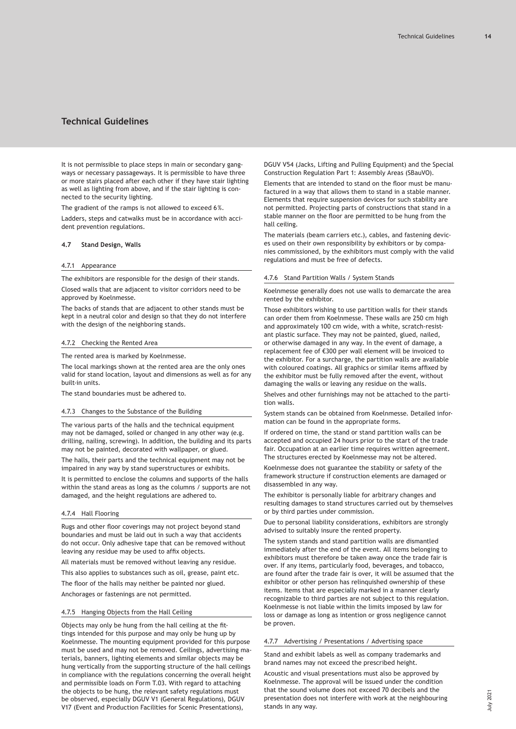<span id="page-13-0"></span>It is not permissible to place steps in main or secondary gangways or necessary passageways. It is permissible to have three or more stairs placed after each other if they have stair lighting as well as lighting from above, and if the stair lighting is connected to the security lighting.

The gradient of the ramps is not allowed to exceed 6%.

Ladders, steps and catwalks must be in accordance with accident prevention regulations.

# **4.7 Stand Design, Walls**

#### 4.7.1 Appearance

The exhibitors are responsible for the design of their stands. Closed walls that are adjacent to visitor corridors need to be

approved by Koelnmesse. The backs of stands that are adjacent to other stands must be

kept in a neutral color and design so that they do not interfere with the design of the neighboring stands.

### 4.7.2 Checking the Rented Area

The rented area is marked by Koelnmesse.

The local markings shown at the rented area are the only ones valid for stand location, layout and dimensions as well as for any built-in units.

The stand boundaries must be adhered to.

# 4.7.3 Changes to the Substance of the Building

The various parts of the halls and the technical equipment may not be damaged, soiled or changed in any other way (e.g. drilling, nailing, screwing). In addition, the building and its parts may not be painted, decorated with wallpaper, or glued.

The halls, their parts and the technical equipment may not be impaired in any way by stand superstructures or exhibits.

It is permitted to enclose the columns and supports of the halls within the stand areas as long as the columns / supports are not damaged, and the height regulations are adhered to.

### 4.7.4 Hall Flooring

Rugs and other floor coverings may not project beyond stand boundaries and must be laid out in such a way that accidents do not occur. Only adhesive tape that can be removed without leaving any residue may be used to affix objects.

All materials must be removed without leaving any residue.

This also applies to substances such as oil, grease, paint etc.

The floor of the halls may neither be painted nor glued.

Anchorages or fastenings are not permitted.

### 4.7.5 Hanging Objects from the Hall Ceiling

Objects may only be hung from the hall ceiling at the fittings intended for this purpose and may only be hung up by Koelnmesse. The mounting equipment provided for this purpose must be used and may not be removed. Ceilings, advertising materials, banners, lighting elements and similar objects may be hung vertically from the supporting structure of the hall ceilings in compliance with the regulations concerning the overall height and permissible loads on Form T.03. With regard to attaching the objects to be hung, the relevant safety regulations must be observed, especially DGUV V1 (General Regulations), DGUV V17 (Event and Production Facilities for Scenic Presentations),

DGUV V54 (Jacks, Lifting and Pulling Equipment) and the Special Construction Regulation Part 1: Assembly Areas (SBauVO).

Elements that are intended to stand on the floor must be manufactured in a way that allows them to stand in a stable manner. Elements that require suspension devices for such stability are not permitted. Projecting parts of constructions that stand in a stable manner on the floor are permitted to be hung from the hall ceiling.

The materials (beam carriers etc.), cables, and fastening devices used on their own responsibility by exhibitors or by companies commissioned, by the exhibitors must comply with the valid regulations and must be free of defects.

# 4.7.6 Stand Partition Walls / System Stands

Koelnmesse generally does not use walls to demarcate the area rented by the exhibitor.

Those exhibitors wishing to use partition walls for their stands can order them from Koelnmesse. These walls are 250 cm high and approximately 100 cm wide, with a white, scratch-resistant plastic surface. They may not be painted, glued, nailed, or otherwise damaged in any way. In the event of damage, a replacement fee of €300 per wall element will be invoiced to the exhibitor. For a surcharge, the partition walls are available with coloured coatings. All graphics or similar items affixed by the exhibitor must be fully removed after the event, without damaging the walls or leaving any residue on the walls.

Shelves and other furnishings may not be attached to the partition walls.

System stands can be obtained from Koelnmesse. Detailed information can be found in the appropriate forms.

If ordered on time, the stand or stand partition walls can be accepted and occupied 24 hours prior to the start of the trade fair. Occupation at an earlier time requires written agreement. The structures erected by Koelnmesse may not be altered.

Koelnmesse does not guarantee the stability or safety of the framework structure if construction elements are damaged or disassembled in any way.

The exhibitor is personally liable for arbitrary changes and resulting damages to stand structures carried out by themselves or by third parties under commission.

Due to personal liability considerations, exhibitors are strongly advised to suitably insure the rented property.

The system stands and stand partition walls are dismantled immediately after the end of the event. All items belonging to exhibitors must therefore be taken away once the trade fair is over. If any items, particularly food, beverages, and tobacco, are found after the trade fair is over, it will be assumed that the exhibitor or other person has relinquished ownership of these items. Items that are especially marked in a manner clearly recognizable to third parties are not subject to this regulation. Koelnmesse is not liable within the limits imposed by law for loss or damage as long as intention or gross negligence cannot be proven.

### 4.7.7 Advertising / Presentations / Advertising space

Stand and exhibit labels as well as company trademarks and brand names may not exceed the prescribed height.

Acoustic and visual presentations must also be approved by Koelnmesse. The approval will be issued under the condition that the sound volume does not exceed 70 decibels and the presentation does not interfere with work at the neighbouring stands in any way.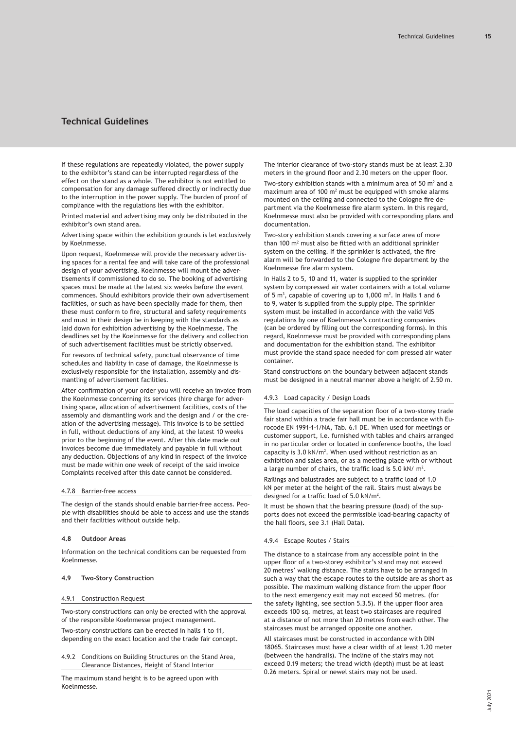<span id="page-14-0"></span>If these regulations are repeatedly violated, the power supply to the exhibitor's stand can be interrupted regardless of the effect on the stand as a whole. The exhibitor is not entitled to compensation for any damage suffered directly or indirectly due to the interruption in the power supply. The burden of proof of compliance with the regulations lies with the exhibitor.

Printed material and advertising may only be distributed in the exhibitor's own stand area.

Advertising space within the exhibition grounds is let exclusively by Koelnmesse.

Upon request, Koelnmesse will provide the necessary advertising spaces for a rental fee and will take care of the professional design of your advertising. Koelnmesse will mount the advertisements if commissioned to do so. The booking of advertising spaces must be made at the latest six weeks before the event commences. Should exhibitors provide their own advertisement facilities, or such as have been specially made for them, then these must conform to fire, structural and safety requirements and must in their design be in keeping with the standards as laid down for exhibition advertising by the Koelnmesse. The deadlines set by the Koelnmesse for the delivery and collection of such advertisement facilities must be strictly observed.

For reasons of technical safety, punctual observance of time schedules and liability in case of damage, the Koelnmesse is exclusively responsible for the installation, assembly and dismantling of advertisement facilities.

After confirmation of your order you will receive an invoice from the Koelnmesse concerning its services (hire charge for advertising space, allocation of advertisement facilities, costs of the assembly and dismantling work and the design and / or the creation of the advertising message). This invoice is to be settled in full, without deductions of any kind, at the latest 10 weeks prior to the beginning of the event. After this date made out invoices become due immediately and payable in full without any deduction. Objections of any kind in respect of the invoice must be made within one week of receipt of the said invoice Complaints received after this date cannot be considered.

### 4.7.8 Barrier-free access

The design of the stands should enable barrier-free access. People with disabilities should be able to access and use the stands and their facilities without outside help.

### **4.8 Outdoor Areas**

Information on the technical conditions can be requested from Koelnmesse.

### **4.9 Two-Story Construction**

### 4.9.1 Construction Request

Two-story constructions can only be erected with the approval of the responsible Koelnmesse project management.

Two-story constructions can be erected in halls 1 to 11, depending on the exact location and the trade fair concept.

4.9.2 Conditions on Building Structures on the Stand Area, Clearance Distances, Height of Stand Interior

The maximum stand height is to be agreed upon with Koelnmesse.

The interior clearance of two-story stands must be at least 2.30 meters in the ground floor and 2.30 meters on the upper floor.

Two-story exhibition stands with a minimum area of 50  $m<sup>2</sup>$  and a  $maximum$  area of 100  $m<sup>2</sup>$  must be equipped with smoke alarms mounted on the ceiling and connected to the Cologne fire department via the Koelnmesse fire alarm system. In this regard, Koelnmesse must also be provided with corresponding plans and documentation.

Two-story exhibition stands covering a surface area of more than 100  $m<sup>2</sup>$  must also be fitted with an additional sprinkler system on the ceiling. If the sprinkler is activated, the fire alarm will be forwarded to the Cologne fire department by the Koelnmesse fire alarm system.

In Halls 2 to 5, 10 and 11, water is supplied to the sprinkler system by compressed air water containers with a total volume of 5  $\mathrm{m}^3$ , capable of covering up to 1,000  $\mathrm{m}^2$ . In Halls 1 and 6 to 9, water is supplied from the supply pipe. The sprinkler system must be installed in accordance with the valid VdS regulations by one of Koelnmesse's contracting companies (can be ordered by filling out the corresponding forms). In this regard, Koelnmesse must be provided with corresponding plans and documentation for the exhibition stand. The exhibitor must provide the stand space needed for com pressed air water container.

Stand constructions on the boundary between adjacent stands must be designed in a neutral manner above a height of 2.50 m.

#### 4.9.3 Load capacity / Design Loads

The load capacities of the separation floor of a two-storey trade fair stand within a trade fair hall must be in accordance with Eurocode EN 1991-1-1/NA, Tab. 6.1 DE. When used for meetings or customer support, i.e. furnished with tables and chairs arranged in no particular order or located in conference booths, the load capacity is 3.0 kN/m<sup>2</sup>. When used without restriction as an exhibition and sales area, or as a meeting place with or without a large number of chairs, the traffic load is 5.0 kN/ $m<sup>2</sup>$ .

Railings and balustrades are subject to a traffic load of 1.0 kN per meter at the height of the rail. Stairs must always be designed for a traffic load of 5.0 kN/m<sup>2</sup> .

It must be shown that the bearing pressure (load) of the supports does not exceed the permissible load-bearing capacity of the hall floors, see 3.1 (Hall Data).

#### 4.9.4 Escape Routes / Stairs

The distance to a staircase from any accessible point in the upper floor of a two-storey exhibitor's stand may not exceed 20 metres' walking distance. The stairs have to be arranged in such a way that the escape routes to the outside are as short as possible. The maximum walking distance from the upper floor to the next emergency exit may not exceed 50 metres. (for the safety lighting, see section 5.3.5). If the upper floor area exceeds 100 sq. metres, at least two staircases are required at a distance of not more than 20 metres from each other. The staircases must be arranged opposite one another.

All staircases must be constructed in accordance with DIN 18065. Staircases must have a clear width of at least 1.20 meter (between the handrails). The incline of the stairs may not exceed 0.19 meters; the tread width (depth) must be at least 0.26 meters. Spiral or newel stairs may not be used.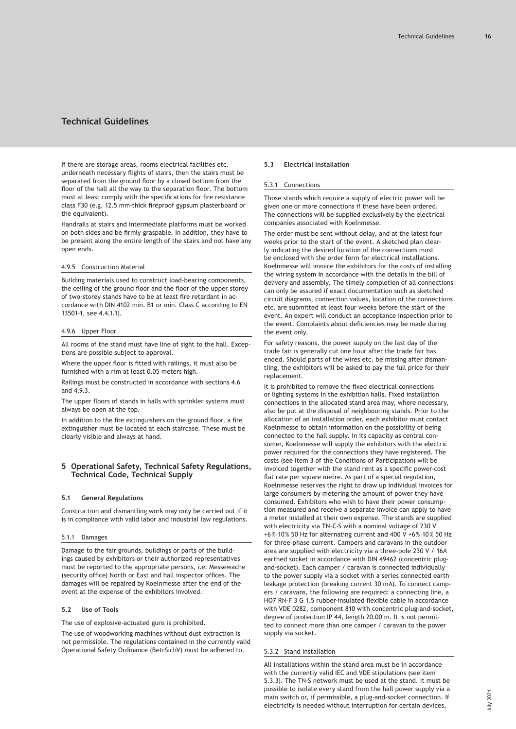<span id="page-15-0"></span>If there are storage areas, rooms electrical facilities etc. underneath necessary flights of stairs, then the stairs must be separated from the ground floor by a closed bottom from the floor of the hall all the way to the separation floor. The bottom must at least comply with the specifications for fire resistance class F30 (e.g. 12.5 mm-thick fireproof gypsum plasterboard or the equivalent).

Handrails at stairs and intermediate platforms must be worked on both sides and be firmly graspable. In addition, they have to be present along the entire length of the stairs and not have any open ends.

### 4.9.5 Construction Material

Building materials used to construct load-bearing components, the ceiling of the ground floor and the floor of the upper storey of two-storey stands have to be at least fire retardant in accordance with DIN 4102 min. B1 or min. Class C according to EN 13501-1, see 4.4.1.1).

#### 4.9.6 Upper Floor

All rooms of the stand must have line of sight to the hall. Exceptions are possible subject to approval.

Where the upper floor is fitted with railings, it must also be furnished with a rim at least 0.05 meters high.

Railings must be constructed in accordance with sections 4.6 and 4.9.3.

The upper floors of stands in halls with sprinkler systems must always be open at the top.

In addition to the fire extinguishers on the ground floor, a fire extinguisher must be located at each staircase. These must be clearly visible and always at hand.

# **5 Operational Safety, Technical Safety Regulations, Technical Code, Technical Supply**

### **5.1 General Regulations**

Construction and dismantling work may only be carried out if it is in compliance with valid labor and industrial law regulations.

# 5.1.1 Damages

Damage to the fair grounds, buildings or parts of the buildings caused by exhibitors or their authorized representatives must be reported to the appropriate persons, i.e. Messewache (security office) North or East and hall inspector offices. The damages will be repaired by Koelnmesse after the end of the event at the expense of the exhibitors involved.

# **5.2 Use of Tools**

The use of explosive-actuated guns is prohibited.

The use of woodworking machines without dust extraction is not permissible. The regulations contained in the currently valid Operational Safety Ordinance (BetrSichV) must be adhered to.

### **5.3 Electrical Installation**

### 5.3.1 Connections

Those stands which require a supply of electric power will be given one or more connections if these have been ordered. The connections will be supplied exclusively by the electrical companies associated with Koelnmesse.

The order must be sent without delay, and at the latest four weeks prior to the start of the event. A sketched plan clearly indicating the desired location of the connections must be enclosed with the order form for electrical installations. Koelnmesse will invoice the exhibitors for the costs of installing the wiring system in accordance with the details in the bill of delivery and assembly. The timely completion of all connections can only be assured if exact documentation such as sketched circuit diagrams, connection values, location of the connections etc. are submitted at least four weeks before the start of the event. An expert will conduct an acceptance inspection prior to the event. Complaints about deficiencies may be made during the event only.

For safety reasons, the power supply on the last day of the trade fair is generally cut one hour after the trade fair has ended. Should parts of the wires etc. be missing after dismantling, the exhibitors will be asked to pay the full price for their replacement.

It is prohibited to remove the fixed electrical connections or lighting systems in the exhibition halls. Fixed installation connections in the allocated stand area may, where necessary, also be put at the disposal of neighbouring stands. Prior to the allocation of an installation order, each exhibitor must contact Koelnmesse to obtain information on the possibility of being connected to the hall supply. In its capacity as central consumer, Koelnmesse will supply the exhibitors with the electric power required for the connections they have registered. The costs (see Item 3 of the Conditions of Participation) will be invoiced together with the stand rent as a specific power-cost flat rate per square metre. As part of a special regulation, Koelnmesse reserves the right to draw up individual invoices for large consumers by metering the amount of power they have consumed. Exhibitors who wish to have their power consumption measured and receive a separate invoice can apply to have a meter installed at their own expense. The stands are supplied with electricity via TN-C-S with a nominal voltage of 230 V +6%–10% 50 Hz for alternating current and 400 V +6%–10% 50 Hz for three-phase current. Campers and caravans in the outdoor area are supplied with electricity via a three-pole 230 V / 16A earthed socket in accordance with DIN 49462 (concentric plugand-socket). Each camper / caravan is connected individually to the power supply via a socket with a series connected earth leakage protection (breaking current 30 mA). To connect campers / caravans, the following are required: a connecting line, a HO7 RN-F 3 G 1.5 rubber-insulated flexible cable in accordance with VDE 0282, component 810 with concentric plug-and-socket, degree of protection IP 44, length 20.00 m. It is not permitted to connect more than one camper / caravan to the power supply via socket.

# 5.3.2 Stand Installation

All installations within the stand area must be in accordance with the currently valid IEC and VDE stipulations (see item 5.3.3). The TN-S network must be used at the stand. It must be possible to isolate every stand from the hall power supply via a main switch or, if permissible, a plug-and-socket connection. If electricity is needed without interruption for certain devices,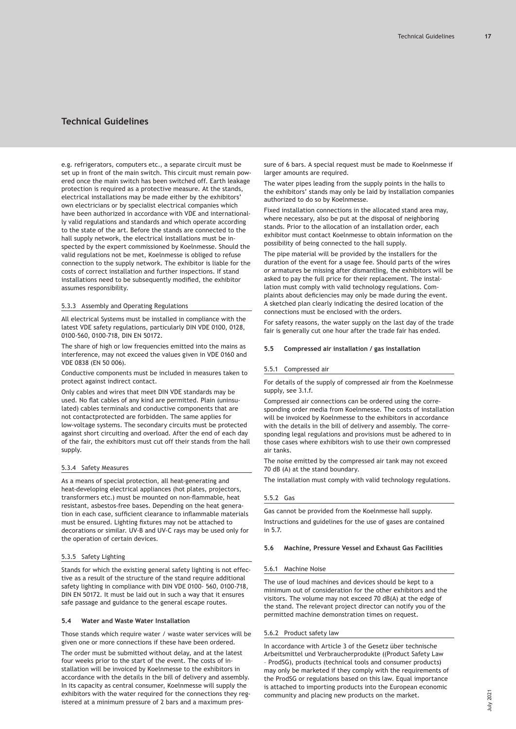<span id="page-16-0"></span>e.g. refrigerators, computers etc., a separate circuit must be set up in front of the main switch. This circuit must remain powered once the main switch has been switched off. Earth leakage protection is required as a protective measure. At the stands, electrical installations may be made either by the exhibitors' own electricians or by specialist electrical companies which have been authorized in accordance with VDE and internationally valid regulations and standards and which operate according to the state of the art. Before the stands are connected to the hall supply network, the electrical installations must be inspected by the expert commissioned by Koelnmesse. Should the valid regulations not be met, Koelnmesse is obliged to refuse connection to the supply network. The exhibitor is liable for the costs of correct installation and further inspections. If stand installations need to be subsequently modified, the exhibitor assumes responsibility.

# 5.3.3 Assembly and Operating Regulations

All electrical Systems must be installed in compliance with the latest VDE safety regulations, particularly DIN VDE 0100, 0128, 0100-560, 0100-718, DIN EN 50172.

The share of high or low frequencies emitted into the mains as interference, may not exceed the values given in VDE 0160 and VDE 0838 (EN 50 006).

Conductive components must be included in measures taken to protect against indirect contact.

Only cables and wires that meet DIN VDE standards may be used. No flat cables of any kind are permitted. Plain (uninsulated) cables terminals and conductive components that are not contactprotected are forbidden. The same applies for low-voltage systems. The secondary circuits must be protected against short circuiting and overload. After the end of each day of the fair, the exhibitors must cut off their stands from the hall supply.

### 5.3.4 Safety Measures

As a means of special protection, all heat-generating and heat-developing electrical appliances (hot plates, projectors, transformers etc.) must be mounted on non-flammable, heat resistant, asbestos-free bases. Depending on the heat generation in each case, sufficient clearance to inflammable materials must be ensured. Lighting fixtures may not be attached to decorations or similar. UV-B and UV-C rays may be used only for the operation of certain devices.

# 5.3.5 Safety Lighting

Stands for which the existing general safety lighting is not effective as a result of the structure of the stand require additional safety lighting in compliance with DIN VDE 0100- 560, 0100-718, DIN EN 50172. It must be laid out in such a way that it ensures safe passage and guidance to the general escape routes.

### **5.4 Water and Waste Water Installation**

Those stands which require water / waste water services will be given one or more connections if these have been ordered.

The order must be submitted without delay, and at the latest four weeks prior to the start of the event. The costs of installation will be invoiced by Koelnmesse to the exhibitors in accordance with the details in the bill of delivery and assembly. In its capacity as central consumer, Koelnmesse will supply the exhibitors with the water required for the connections they registered at a minimum pressure of 2 bars and a maximum pressure of 6 bars. A special request must be made to Koelnmesse if larger amounts are required.

The water pipes leading from the supply points in the halls to the exhibitors' stands may only be laid by installation companies authorized to do so by Koelnmesse.

Fixed installation connections in the allocated stand area may, where necessary, also be put at the disposal of neighboring stands. Prior to the allocation of an installation order, each exhibitor must contact Koelnmesse to obtain information on the possibility of being connected to the hall supply.

The pipe material will be provided by the installers for the duration of the event for a usage fee. Should parts of the wires or armatures be missing after dismantling, the exhibitors will be asked to pay the full price for their replacement. The installation must comply with valid technology regulations. Complaints about deficiencies may only be made during the event. A sketched plan clearly indicating the desired location of the connections must be enclosed with the orders.

For safety reasons, the water supply on the last day of the trade fair is generally cut one hour after the trade fair has ended.

#### **5.5 Compressed air installation / gas installation**

#### 5.5.1 Compressed air

For details of the supply of compressed air from the Koelnmesse supply, see 3.1.f.

Compressed air connections can be ordered using the corresponding order media from Koelnmesse. The costs of installation will be invoiced by Koelnmesse to the exhibitors in accordance with the details in the bill of delivery and assembly. The corresponding legal regulations and provisions must be adhered to in those cases where exhibitors wish to use their own compressed air tanks.

The noise emitted by the compressed air tank may not exceed 70 dB (A) at the stand boundary.

The installation must comply with valid technology regulations.

#### 5.5.2 Gas

Gas cannot be provided from the Koelnmesse hall supply.

Instructions and guidelines for the use of gases are contained in 5.7.

#### **5.6 Machine, Pressure Vessel and Exhaust Gas Facilities**

# 5.6.1 Machine Noise

The use of loud machines and devices should be kept to a minimum out of consideration for the other exhibitors and the visitors. The volume may not exceed 70 dB(A) at the edge of the stand. The relevant project director can notify you of the permitted machine demonstration times on request.

### 5.6.2 Product safety law

In accordance with Article 3 of the Gesetz über technische Arbeitsmittel und Verbraucherprodukte ((Product Safety Law – ProdSG), products (technical tools and consumer products) may only be marketed if they comply with the requirements of the ProdSG or regulations based on this law. Equal importance is attached to importing products into the European economic community and placing new products on the market.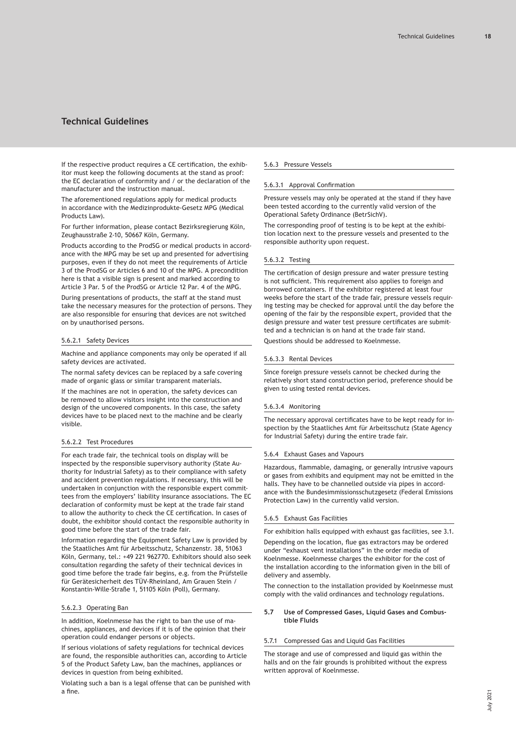<span id="page-17-0"></span>If the respective product requires a CE certification, the exhibitor must keep the following documents at the stand as proof: the EC declaration of conformity and / or the declaration of the manufacturer and the instruction manual.

The aforementioned regulations apply for medical products in accordance with the Medizinprodukte-Gesetz MPG (Medical Products Law).

For further information, please contact Bezirksregierung Köln, Zeughausstraße 2-10, 50667 Köln, Germany.

Products according to the ProdSG or medical products in accordance with the MPG may be set up and presented for advertising purposes, even if they do not meet the requirements of Article 3 of the ProdSG or Articles 6 and 10 of the MPG. A precondition here is that a visible sign is present and marked according to Article 3 Par. 5 of the ProdSG or Article 12 Par. 4 of the MPG.

During presentations of products, the staff at the stand must take the necessary measures for the protection of persons. They are also responsible for ensuring that devices are not switched on by unauthorised persons.

### 5.6.2.1 Safety Devices

Machine and appliance components may only be operated if all safety devices are activated.

The normal safety devices can be replaced by a safe covering made of organic glass or similar transparent materials.

If the machines are not in operation, the safety devices can be removed to allow visitors insight into the construction and design of the uncovered components. In this case, the safety devices have to be placed next to the machine and be clearly visible.

# 5.6.2.2 Test Procedures

For each trade fair, the technical tools on display will be inspected by the responsible supervisory authority (State Authority for Industrial Safety) as to their compliance with safety and accident prevention regulations. If necessary, this will be undertaken in conjunction with the responsible expert committees from the employers' liability insurance associations. The EC declaration of conformity must be kept at the trade fair stand to allow the authority to check the CE certification. In cases of doubt, the exhibitor should contact the responsible authority in good time before the start of the trade fair.

Information regarding the Equipment Safety Law is provided by the Staatliches Amt für Arbeitsschutz, Schanzenstr. 38, 51063 Köln, Germany, tel.: +49 221 962770. Exhibitors should also seek consultation regarding the safety of their technical devices in good time before the trade fair begins, e.g. from the Prüfstelle für Gerätesicherheit des TÜV-Rheinland, Am Grauen Stein / Konstantin-Wille-Straße 1, 51105 Köln (Poll), Germany.

# 5.6.2.3 Operating Ban

In addition, Koelnmesse has the right to ban the use of machines, appliances, and devices if it is of the opinion that their operation could endanger persons or objects.

If serious violations of safety regulations for technical devices are found, the responsible authorities can, according to Article 5 of the Product Safety Law, ban the machines, appliances or devices in question from being exhibited.

Violating such a ban is a legal offense that can be punished with a fine.

# 5.6.3 Pressure Vessels

### 5.6.3.1 Approval Confirmation

Pressure vessels may only be operated at the stand if they have been tested according to the currently valid version of the Operational Safety Ordinance (BetrSichV).

The corresponding proof of testing is to be kept at the exhibition location next to the pressure vessels and presented to the responsible authority upon request.

# 5.6.3.2 Testing

The certification of design pressure and water pressure testing is not sufficient. This requirement also applies to foreign and borrowed containers. If the exhibitor registered at least four weeks before the start of the trade fair, pressure vessels requiring testing may be checked for approval until the day before the opening of the fair by the responsible expert, provided that the design pressure and water test pressure certificates are submitted and a technician is on hand at the trade fair stand. Questions should be addressed to Koelnmesse.

### 5.6.3.3 Rental Devices

Since foreign pressure vessels cannot be checked during the relatively short stand construction period, preference should be given to using tested rental devices.

### 5.6.3.4 Monitoring

The necessary approval certificates have to be kept ready for inspection by the Staatliches Amt für Arbeitsschutz (State Agency for Industrial Safety) during the entire trade fair.

### 5.6.4 Exhaust Gases and Vapours

Hazardous, flammable, damaging, or generally intrusive vapours or gases from exhibits and equipment may not be emitted in the halls. They have to be channelled outside via pipes in accordance with the Bundesimmissionsschutzgesetz (Federal Emissions Protection Law) in the currently valid version.

### 5.6.5 Exhaust Gas Facilities

For exhibition halls equipped with exhaust gas facilities, see 3.1. Depending on the location, flue gas extractors may be ordered under "exhaust vent installations" in the order media of Koelnmesse. Koelnmesse charges the exhibitor for the cost of the installation according to the information given in the bill of delivery and assembly.

The connection to the installation provided by Koelnmesse must comply with the valid ordinances and technology regulations.

# **5.7 Use of Compressed Gases, Liquid Gases and Combustible Fluids**

# 5.7.1 Compressed Gas and Liquid Gas Facilities

The storage and use of compressed and liquid gas within the halls and on the fair grounds is prohibited without the express written approval of Koelnmesse.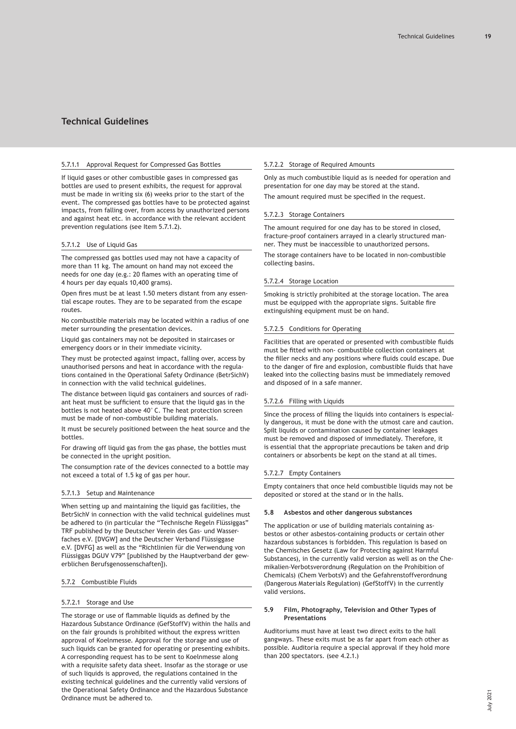### <span id="page-18-0"></span>5.7.1.1 Approval Request for Compressed Gas Bottles

If liquid gases or other combustible gases in compressed gas bottles are used to present exhibits, the request for approval must be made in writing six (6) weeks prior to the start of the event. The compressed gas bottles have to be protected against impacts, from falling over, from access by unauthorized persons and against heat etc. in accordance with the relevant accident prevention regulations (see Item 5.7.1.2).

# 5.7.1.2 Use of Liquid Gas

The compressed gas bottles used may not have a capacity of more than 11 kg. The amount on hand may not exceed the needs for one day (e.g.: 20 flames with an operating time of 4 hours per day equals 10,400 grams).

Open fires must be at least 1.50 meters distant from any essential escape routes. They are to be separated from the escape routes.

No combustible materials may be located within a radius of one meter surrounding the presentation devices.

Liquid gas containers may not be deposited in staircases or emergency doors or in their immediate vicinity.

They must be protected against impact, falling over, access by unauthorised persons and heat in accordance with the regulations contained in the Operational Safety Ordinance (BetrSichV) in connection with the valid technical guidelines.

The distance between liquid gas containers and sources of radiant heat must be sufficient to ensure that the liquid gas in the bottles is not heated above 40°C. The heat protection screen must be made of non-combustible building materials.

It must be securely positioned between the heat source and the bottles.

For drawing off liquid gas from the gas phase, the bottles must be connected in the upright position.

The consumption rate of the devices connected to a bottle may not exceed a total of 1.5 kg of gas per hour.

# 5.7.1.3 Setup and Maintenance

When setting up and maintaining the liquid gas facilities, the BetrSichV in connection with the valid technical guidelines must be adhered to (in particular the "Technische Regeln Flüssiggas" TRF published by the Deutscher Verein des Gas- und Wasserfaches e.V. [DVGW] and the Deutscher Verband Flüssiggase e.V. [DVFG] as well as the "Richtlinien für die Verwendung von Flüssiggas DGUV V79" [published by the Hauptverband der gewerblichen Berufsgenossenschaften]).

# 5.7.2 Combustible Fluids

### 5.7.2.1 Storage and Use

The storage or use of flammable liquids as defined by the Hazardous Substance Ordinance (GefStoffV) within the halls and on the fair grounds is prohibited without the express written approval of Koelnmesse. Approval for the storage and use of such liquids can be granted for operating or presenting exhibits. A corresponding request has to be sent to Koelnmesse along with a requisite safety data sheet. Insofar as the storage or use of such liquids is approved, the regulations contained in the existing technical guidelines and the currently valid versions of the Operational Safety Ordinance and the Hazardous Substance Ordinance must be adhered to.

# 5.7.2.2 Storage of Required Amounts

Only as much combustible liquid as is needed for operation and presentation for one day may be stored at the stand. The amount required must be specified in the request.

### 5.7.2.3 Storage Containers

The amount required for one day has to be stored in closed, fracture-proof containers arrayed in a clearly structured manner. They must be inaccessible to unauthorized persons.

The storage containers have to be located in non-combustible collecting basins.

# 5.7.2.4 Storage Location

Smoking is strictly prohibited at the storage location. The area must be equipped with the appropriate signs. Suitable fire extinguishing equipment must be on hand.

# 5.7.2.5 Conditions for Operating

Facilities that are operated or presented with combustible fluids must be fitted with non- combustible collection containers at the filler necks and any positions where fluids could escape. Due to the danger of fire and explosion, combustible fluids that have leaked into the collecting basins must be immediately removed and disposed of in a safe manner.

# 5.7.2.6 Filling with Liquids

Since the process of filling the liquids into containers is especially dangerous, it must be done with the utmost care and caution. Spilt liquids or contamination caused by container leakages must be removed and disposed of immediately. Therefore, it is essential that the appropriate precautions be taken and drip containers or absorbents be kept on the stand at all times.

### 5.7.2.7 Empty Containers

Empty containers that once held combustible liquids may not be deposited or stored at the stand or in the halls.

### **5.8 Asbestos and other dangerous substances**

The application or use of building materials containing asbestos or other asbestos-containing products or certain other hazardous substances is forbidden. This regulation is based on the Chemisches Gesetz (Law for Protecting against Harmful Substances), in the currently valid version as well as on the Chemikalien-Verbotsverordnung (Regulation on the Prohibition of Chemicals) (Chem VerbotsV) and the Gefahrenstoffverordnung (Dangerous Materials Regulation) (GefStoffV) in the currently valid versions.

### **5.9 Film, Photography, Television and Other Types of Presentations**

Auditoriums must have at least two direct exits to the hall gangways. These exits must be as far apart from each other as possible. Auditoria require a special approval if they hold more than 200 spectators. (see 4.2.1.)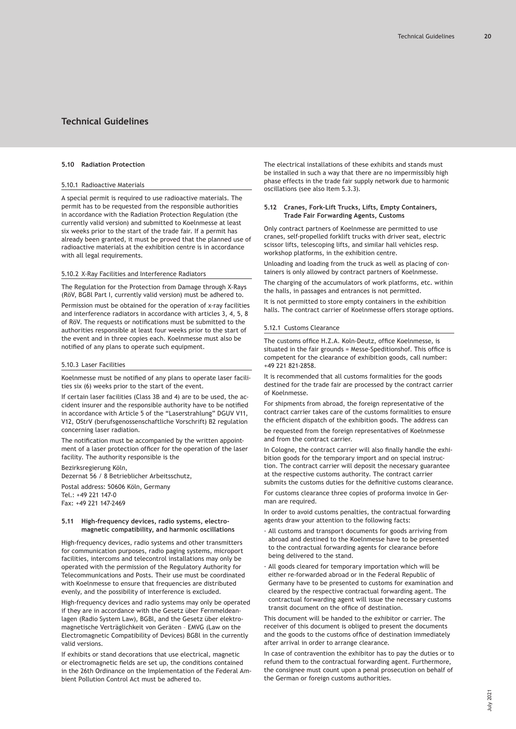### <span id="page-19-0"></span>**5.10 Radiation Protection**

# 5.10.1 Radioactive Materials

A special permit is required to use radioactive materials. The permit has to be requested from the responsible authorities in accordance with the Radiation Protection Regulation (the currently valid version) and submitted to Koelnmesse at least six weeks prior to the start of the trade fair. If a permit has already been granted, it must be proved that the planned use of radioactive materials at the exhibition centre is in accordance with all legal requirements.

### 5.10.2 X-Ray Facilities and Interference Radiators

The Regulation for the Protection from Damage through X-Rays (RöV, BGBl Part I, currently valid version) must be adhered to.

Permission must be obtained for the operation of x-ray facilities and interference radiators in accordance with articles 3, 4, 5, 8 of RöV. The requests or notifications must be submitted to the authorities responsible at least four weeks prior to the start of the event and in three copies each. Koelnmesse must also be notified of any plans to operate such equipment.

# 5.10.3 Laser Facilities

Koelnmesse must be notified of any plans to operate laser facilities six (6) weeks prior to the start of the event.

If certain laser facilities (Class 3B and 4) are to be used, the accident insurer and the responsible authority have to be notified in accordance with Article 5 of the "Laserstrahlung" DGUV V11, V12, OStrV (berufsgenossenschaftliche Vorschrift) B2 regulation concerning laser radiation.

The notification must be accompanied by the written appointment of a laser protection officer for the operation of the laser facility. The authority responsible is the

Bezirksregierung Köln,

Dezernat 56 / 8 Betrieblicher Arbeitsschutz,

Postal address: 50606 Köln, Germany Tel.: +49 221 147-0

Fax: +49 221 147-2469

### **5.11 High-frequency devices, radio systems, electromagnetic compatibility, and harmonic oscillations**

High-frequency devices, radio systems and other transmitters for communication purposes, radio paging systems, microport facilities, intercoms and telecontrol installations may only be operated with the permission of the Regulatory Authority for Telecommunications and Posts. Their use must be coordinated with Koelnmesse to ensure that frequencies are distributed evenly, and the possibility of interference is excluded.

High-frequency devices and radio systems may only be operated if they are in accordance with the Gesetz über Fernmeldeanlagen (Radio System Law), BGBl, and the Gesetz über elektromagnetische Verträglichkeit von Geräten – EMVG (Law on the Electromagnetic Compatibility of Devices) BGBl in the currently valid versions.

If exhibits or stand decorations that use electrical, magnetic or electromagnetic fields are set up, the conditions contained in the 26th Ordinance on the Implementation of the Federal Ambient Pollution Control Act must be adhered to.

The electrical installations of these exhibits and stands must be installed in such a way that there are no impermissibly high phase effects in the trade fair supply network due to harmonic oscillations (see also Item 5.3.3).

## **5.12 Cranes, Fork-Lift Trucks, Lifts, Empty Containers, Trade Fair Forwarding Agents, Customs**

Only contract partners of Koelnmesse are permitted to use cranes, self-propelled forklift trucks with driver seat, electric scissor lifts, telescoping lifts, and similar hall vehicles resp. workshop platforms, in the exhibition centre.

Unloading and loading from the truck as well as placing of containers is only allowed by contract partners of Koelnmesse.

The charging of the accumulators of work platforms, etc. within the halls, in passages and entrances is not permitted.

It is not permitted to store empty containers in the exhibition halls. The contract carrier of Koelnmesse offers storage options.

### 5.12.1 Customs Clearance

The customs office H.Z.A. Koln-Deutz, office Koelnmesse, is situated in the fair grounds = Messe-Speditionshof. This office is competent for the clearance of exhibition goods, call number: +49 221 821-2858.

It is recommended that all customs formalities for the goods destined for the trade fair are processed by the contract carrier of Koelnmesse.

For shipments from abroad, the foreign representative of the contract carrier takes care of the customs formalities to ensure the efficient dispatch of the exhibition goods. The address can

be requested from the foreign representatives of Koelnmesse and from the contract carrier.

In Cologne, the contract carrier will also finally handle the exhibition goods for the temporary import and on special instruction. The contract carrier will deposit the necessary guarantee at the respective customs authority. The contract carrier submits the customs duties for the definitive customs clearance.

For customs clearance three copies of proforma invoice in German are required.

In order to avoid customs penalties, the contractual forwarding agents draw your attention to the following facts:

- · All customs and transport documents for goods arriving from abroad and destined to the Koelnmesse have to be presented to the contractual forwarding agents for clearance before being delivered to the stand.
- · All goods cleared for temporary importation which will be either re-forwarded abroad or in the Federal Republic of Germany have to be presented to customs for examination and cleared by the respective contractual forwarding agent. The contractual forwarding agent will issue the necessary customs transit document on the office of destination.

This document will be handed to the exhibitor or carrier. The receiver of this document is obliged to present the documents and the goods to the customs office of destination immediately after arrival in order to arrange clearance.

In case of contravention the exhibitor has to pay the duties or to refund them to the contractual forwarding agent. Furthermore, the consignee must count upon a penal prosecution on behalf of the German or foreign customs authorities.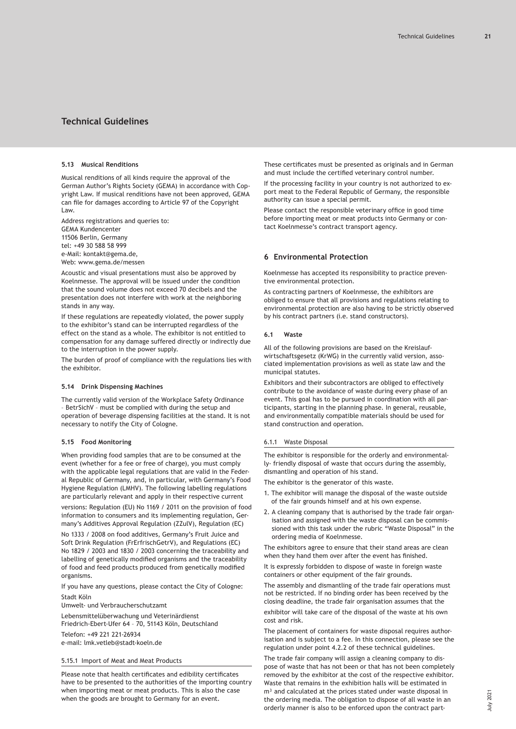### <span id="page-20-0"></span>**5.13 Musical Renditions**

Musical renditions of all kinds require the approval of the German Author's Rights Society (GEMA) in accordance with Copyright Law. If musical renditions have not been approved, GEMA can file for damages according to Article 97 of the Copyright Law.

Address registrations and queries to: GEMA Kundencenter 11506 Berlin, Germany tel: +49 30 588 58 999 e-Mail: kontakt@gema.de, Web: www.gema.de/messen

Acoustic and visual presentations must also be approved by Koelnmesse. The approval will be issued under the condition that the sound volume does not exceed 70 decibels and the presentation does not interfere with work at the neighboring stands in any way.

If these regulations are repeatedly violated, the power supply to the exhibitor's stand can be interrupted regardless of the effect on the stand as a whole. The exhibitor is not entitled to compensation for any damage suffered directly or indirectly due to the interruption in the power supply.

The burden of proof of compliance with the regulations lies with the exhibitor.

# **5.14 Drink Dispensing Machines**

The currently valid version of the Workplace Safety Ordinance – BetrSichV – must be complied with during the setup and operation of beverage dispensing facilities at the stand. It is not necessary to notify the City of Cologne.

# **5.15 Food Monitoring**

When providing food samples that are to be consumed at the event (whether for a fee or free of charge), you must comply with the applicable legal regulations that are valid in the Federal Republic of Germany, and, in particular, with Germany's Food Hygiene Regulation (LMHV). The following labelling regulations are particularly relevant and apply in their respective current

versions: Regulation (EU) No 1169 / 2011 on the provision of food information to consumers and its implementing regulation, Germany's Additives Approval Regulation (ZZulV), Regulation (EC)

No 1333 / 2008 on food additives, Germany's Fruit Juice and Soft Drink Regulation (FrErfrischGetrV), and Regulations (EC) No 1829 / 2003 and 1830 / 2003 concerning the traceability and labelling of genetically modified organisms and the traceability of food and feed products produced from genetically modified organisms.

If you have any questions, please contact the City of Cologne: Stadt Köln

Umwelt- und Verbraucherschutzamt

Lebensmittelüberwachung und Veterinärdienst Friedrich-Ebert-Ufer 64 – 70, 51143 Köln, Deutschland Telefon: +49 221 221-26934 e-mail: lmk.vetleb@stadt-koeln.de

# 5.15.1 Import of Meat and Meat Products

Please note that health certificates and edibility certificates have to be presented to the authorities of the importing country when importing meat or meat products. This is also the case when the goods are brought to Germany for an event.

These certificates must be presented as originals and in German and must include the certified veterinary control number.

If the processing facility in your country is not authorized to export meat to the Federal Republic of Germany, the responsible authority can issue a special permit.

Please contact the responsible veterinary office in good time before importing meat or meat products into Germany or contact Koelnmesse's contract transport agency.

# **6 Environmental Protection**

Koelnmesse has accepted its responsibility to practice preventive environmental protection.

As contracting partners of Koelnmesse, the exhibitors are obliged to ensure that all provisions and regulations relating to environmental protection are also having to be strictly observed by his contract partners (i.e. stand constructors).

# **6.1 Waste**

All of the following provisions are based on the Kreislaufwirtschaftsgesetz (KrWG) in the currently valid version, associated implementation provisions as well as state law and the municipal statutes.

Exhibitors and their subcontractors are obliged to effectively contribute to the avoidance of waste during every phase of an event. This goal has to be pursued in coordination with all participants, starting in the planning phase. In general, reusable, and environmentally compatible materials should be used for stand construction and operation.

# 6.1.1 Waste Disposal

The exhibitor is responsible for the orderly and environmentally- friendly disposal of waste that occurs during the assembly, dismantling and operation of his stand.

The exhibitor is the generator of this waste.

- 1. The exhibitor will manage the disposal of the waste outside of the fair grounds himself and at his own expense.
- 2. A cleaning company that is authorised by the trade fair organisation and assigned with the waste disposal can be commissioned with this task under the rubric "Waste Disposal" in the ordering media of Koelnmesse.

The exhibitors agree to ensure that their stand areas are clean when they hand them over after the event has finished.

It is expressly forbidden to dispose of waste in foreign waste containers or other equipment of the fair grounds.

The assembly and dismantling of the trade fair operations must not be restricted. If no binding order has been received by the closing deadline, the trade fair organisation assumes that the

exhibitor will take care of the disposal of the waste at his own cost and risk.

The placement of containers for waste disposal requires authorisation and is subject to a fee. In this connection, please see the regulation under point 4.2.2 of these technical guidelines.

The trade fair company will assign a cleaning company to dispose of waste that has not been or that has not been completely removed by the exhibitor at the cost of the respective exhibitor. Waste that remains in the exhibition halls will be estimated in m<sup>3</sup> and calculated at the prices stated under waste disposal in the ordering media. The obligation to dispose of all waste in an orderly manner is also to be enforced upon the contract part-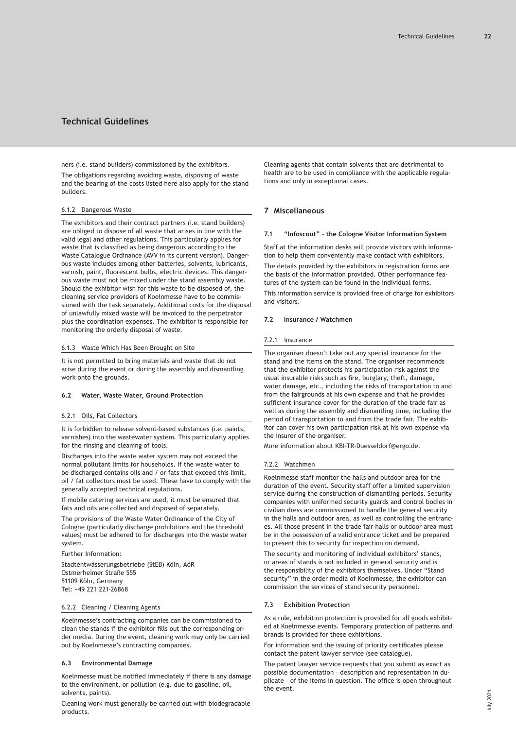<span id="page-21-0"></span>ners (i.e. stand builders) commissioned by the exhibitors. The obligations regarding avoiding waste, disposing of waste and the bearing of the costs listed here also apply for the stand builders.

### 6.1.2 Dangerous Waste

The exhibitors and their contract partners (i.e. stand builders) are obliged to dispose of all waste that arises in line with the valid legal and other regulations. This particularly applies for waste that is classified as being dangerous according to the Waste Catalogue Ordinance (AVV in its current version). Dangerous waste includes among other batteries, solvents, lubricants, varnish, paint, fluorescent bulbs, electric devices. This dangerous waste must not be mixed under the stand assembly waste. Should the exhibitor wish for this waste to be disposed of, the cleaning service providers of Koelnmesse have to be commissioned with the task separately. Additional costs for the disposal of unlawfully mixed waste will be invoiced to the perpetrator plus the coordination expenses. The exhibitor is responsible for monitoring the orderly disposal of waste.

### 6.1.3 Waste Which Has Been Brought on Site

It is not permitted to bring materials and waste that do not arise during the event or during the assembly and dismantling work onto the grounds.

### **6.2 Water, Waste Water, Ground Protection**

# 6.2.1 Oils, Fat Collectors

It is forbidden to release solvent-based substances (i.e. paints, varnishes) into the wastewater system. This particularly applies for the rinsing and cleaning of tools.

Discharges into the waste water system may not exceed the normal pollutant limits for households. If the waste water to be discharged contains oils and / or fats that exceed this limit, oil / fat collectors must be used. These have to comply with the generally accepted technical regulations.

If mobile catering services are used, it must be ensured that fats and oils are collected and disposed of separately.

The provisions of the Waste Water Ordinance of the City of Cologne (particularly discharge prohibitions and the threshold values) must be adhered to for discharges into the waste water system.

Further Information:

Stadtentwässerungsbetriebe (StEB) Köln, AöR Ostmerheimer Straße 555 51109 Köln, Germany Tel: +49 221 221-26868

#### 6.2.2 Cleaning / Cleaning Agents

Koelnmesse's contracting companies can be commissioned to clean the stands if the exhibitor fills out the corresponding order media. During the event, cleaning work may only be carried out by Koelnmesse's contracting companies.

### **6.3 Environmental Damage**

Koelnmesse must be notified immediately if there is any damage to the environment, or pollution (e.g. due to gasoline, oil, solvents, paints).

Cleaning work must generally be carried out with biodegradable products.

Cleaning agents that contain solvents that are detrimental to health are to be used in compliance with the applicable regulations and only in exceptional cases.

# **7 Miscellaneous**

### **7.1 "Infoscout" – the Cologne Visitor Information System**

Staff at the information desks will provide visitors with information to help them conveniently make contact with exhibitors.

The details provided by the exhibitors in registration forms are the basis of the information provided. Other performance features of the system can be found in the individual forms.

This information service is provided free of charge for exhibitors and visitors.

### **7.2 Insurance / Watchmen**

#### 7.2.1 Insurance

The organiser doesn't take out any special insurance for the stand and the items on the stand. The organiser recommends that the exhibitor protects his participation risk against the usual insurable risks such as fire, burglary, theft, damage, water damage, etc., including the risks of transportation to and from the fairgrounds at his own expense and that he provides sufficient insurance cover for the duration of the trade fair as well as during the assembly and dismantling time, including the period of transportation to and from the trade fair. The exhibitor can cover his own participation risk at his own expense via the insurer of the organiser.

More information about KBI-TR-Duesseldorf@ergo.de.

#### 7.2.2 Watchmen

Koelnmesse staff monitor the halls and outdoor area for the duration of the event. Security staff offer a limited supervision service during the construction of dismantling periods. Security companies with uniformed security guards and control bodies in civilian dress are commissioned to handle the general security in the halls and outdoor area, as well as controlling the entrances. All those present in the trade fair halls or outdoor area must be in the possession of a valid entrance ticket and be prepared to present this to security for inspection on demand.

The security and monitoring of individual exhibitors' stands, or areas of stands is not included in general security and is the responsibility of the exhibitors themselves. Under "Stand security" in the order media of Koelnmesse, the exhibitor can commission the services of stand security personnel.

# **7.3 Exhibition Protection**

As a rule, exhibition protection is provided for all goods exhibited at Koelnmesse events. Temporary protection of patterns and brands is provided for these exhibitions.

For information and the issuing of priority certificates please contact the patent lawyer service (see catalogue).

The patent lawyer service requests that you submit as exact as possible documentation – description and representation in duplicate – of the items in question. The office is open throughout the event.